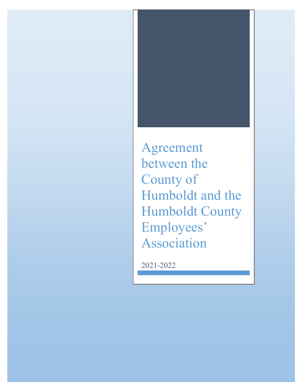Agreement between the County of Humboldt and the Humboldt County Employees' Association

2021-2022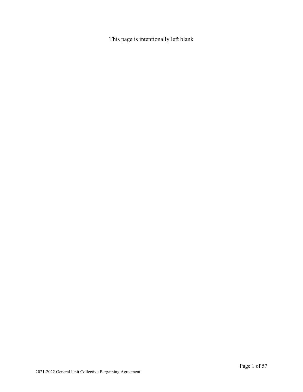This page is intentionally left blank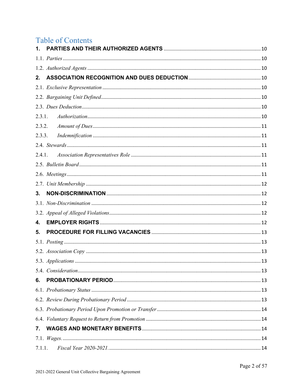## **Table of Contents**

| 2.     |  |
|--------|--|
|        |  |
|        |  |
|        |  |
| 2.3.1. |  |
| 2.3.2. |  |
| 2.3.3. |  |
|        |  |
| 2.4.1. |  |
|        |  |
|        |  |
|        |  |
| 3.     |  |
|        |  |
|        |  |
| 4.     |  |
| 5.     |  |
|        |  |
|        |  |
|        |  |
|        |  |
| 6.     |  |
|        |  |
|        |  |
|        |  |
|        |  |
| 7.     |  |
|        |  |
| 7.1.1. |  |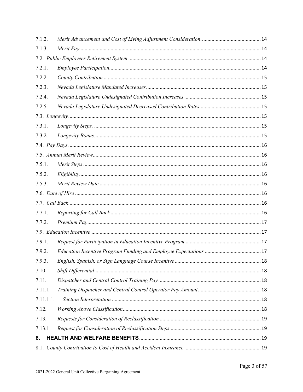| 7.1.2.    |  |  |  |  |  |
|-----------|--|--|--|--|--|
| 7.1.3.    |  |  |  |  |  |
|           |  |  |  |  |  |
| 7.2.1.    |  |  |  |  |  |
| 7.2.2.    |  |  |  |  |  |
| 7.2.3.    |  |  |  |  |  |
| 7.2.4.    |  |  |  |  |  |
| 7.2.5.    |  |  |  |  |  |
|           |  |  |  |  |  |
| 7.3.1.    |  |  |  |  |  |
| 7.3.2.    |  |  |  |  |  |
|           |  |  |  |  |  |
|           |  |  |  |  |  |
| 7.5.1.    |  |  |  |  |  |
| 7.5.2.    |  |  |  |  |  |
| 7.5.3.    |  |  |  |  |  |
|           |  |  |  |  |  |
|           |  |  |  |  |  |
| 7.7.1.    |  |  |  |  |  |
| 7.7.2.    |  |  |  |  |  |
|           |  |  |  |  |  |
| 7.9.1.    |  |  |  |  |  |
| 7.9.2.    |  |  |  |  |  |
| 7.9.3.    |  |  |  |  |  |
| 7.10.     |  |  |  |  |  |
| 7.11.     |  |  |  |  |  |
| 7.11.1.   |  |  |  |  |  |
| 7.11.1.1. |  |  |  |  |  |
| 7.12.     |  |  |  |  |  |
| 7.13.     |  |  |  |  |  |
| 7.13.1.   |  |  |  |  |  |
| 8.        |  |  |  |  |  |
|           |  |  |  |  |  |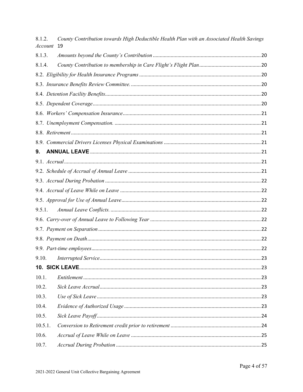| 8.1.2.<br>Account | County Contribution towards High Deductible Health Plan with an Associated Health Savings<br>19 |    |
|-------------------|-------------------------------------------------------------------------------------------------|----|
| 8.1.3.            |                                                                                                 |    |
| 8.1.4.            |                                                                                                 |    |
|                   |                                                                                                 |    |
|                   |                                                                                                 |    |
|                   |                                                                                                 |    |
|                   |                                                                                                 |    |
|                   |                                                                                                 |    |
|                   |                                                                                                 |    |
|                   |                                                                                                 |    |
|                   |                                                                                                 |    |
| 9.                |                                                                                                 |    |
|                   |                                                                                                 |    |
|                   |                                                                                                 |    |
|                   |                                                                                                 |    |
|                   |                                                                                                 |    |
|                   |                                                                                                 |    |
| 9.5.1.            |                                                                                                 |    |
|                   |                                                                                                 |    |
|                   |                                                                                                 |    |
|                   |                                                                                                 |    |
|                   |                                                                                                 |    |
|                   |                                                                                                 | 23 |
|                   |                                                                                                 |    |
| 10.1.             |                                                                                                 |    |
| 10.2.             |                                                                                                 |    |
| 10.3.             |                                                                                                 |    |
| 10.4.             |                                                                                                 |    |
| 10.5.             |                                                                                                 |    |
| 10.5.1.           |                                                                                                 |    |
| 10.6.             |                                                                                                 |    |
| 10.7.             |                                                                                                 |    |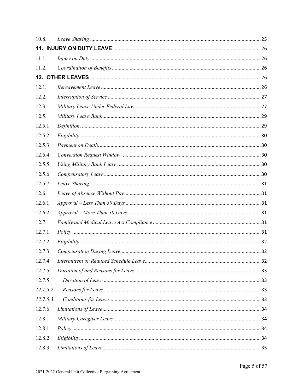| 10.8.     |  |  |  |  |
|-----------|--|--|--|--|
|           |  |  |  |  |
| 11.1.     |  |  |  |  |
| 11.2.     |  |  |  |  |
|           |  |  |  |  |
| 12.1.     |  |  |  |  |
| 12.2.     |  |  |  |  |
| 12.3.     |  |  |  |  |
| 12.5.     |  |  |  |  |
| 12.5.1.   |  |  |  |  |
| 12.5.2.   |  |  |  |  |
| 12.5.3.   |  |  |  |  |
| 12.5.4.   |  |  |  |  |
| 12.5.5.   |  |  |  |  |
| 12.5.6.   |  |  |  |  |
| 12.5.7.   |  |  |  |  |
| 12.6.     |  |  |  |  |
| 12.6.1.   |  |  |  |  |
| 12.6.2.   |  |  |  |  |
| 12.7.     |  |  |  |  |
| 12.7.1.   |  |  |  |  |
| 12.7.2.   |  |  |  |  |
| 12.7.3.   |  |  |  |  |
| 12.7.4.   |  |  |  |  |
| 12.7.5.   |  |  |  |  |
| 12.7.5.1. |  |  |  |  |
| 12.7.5.2. |  |  |  |  |
| 12.7.5.3. |  |  |  |  |
| 12.7.6.   |  |  |  |  |
| 12.8.     |  |  |  |  |
| 12.8.1.   |  |  |  |  |
| 12.8.2.   |  |  |  |  |
| 12.8.3.   |  |  |  |  |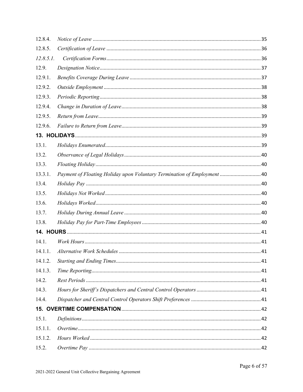| 12.8.4.      |                                                                          |  |
|--------------|--------------------------------------------------------------------------|--|
| 12.8.5.      |                                                                          |  |
| $12.8.5.1$ . |                                                                          |  |
| 12.9.        |                                                                          |  |
| 12.9.1.      |                                                                          |  |
| 12.9.2.      |                                                                          |  |
| 12.9.3.      |                                                                          |  |
| 12.9.4.      |                                                                          |  |
| 12.9.5.      |                                                                          |  |
| 12.9.6.      |                                                                          |  |
|              |                                                                          |  |
| 13.1.        |                                                                          |  |
| 13.2.        |                                                                          |  |
| 13.3.        |                                                                          |  |
| 13.3.1.      | Payment of Floating Holiday upon Voluntary Termination of Employment  40 |  |
| 13.4.        |                                                                          |  |
| 13.5.        |                                                                          |  |
| 13.6.        |                                                                          |  |
| 13.7.        |                                                                          |  |
| 13.8.        |                                                                          |  |
|              |                                                                          |  |
| 14.1.        |                                                                          |  |
| 14.1.1.      |                                                                          |  |
| 14.1.2.      |                                                                          |  |
| 14.1.3.      |                                                                          |  |
| 14.2.        |                                                                          |  |
| 14.3.        |                                                                          |  |
| 14.4.        |                                                                          |  |
|              |                                                                          |  |
| 15.1.        |                                                                          |  |
| 15.1.1.      |                                                                          |  |
| 15.1.2.      |                                                                          |  |
| 15.2.        |                                                                          |  |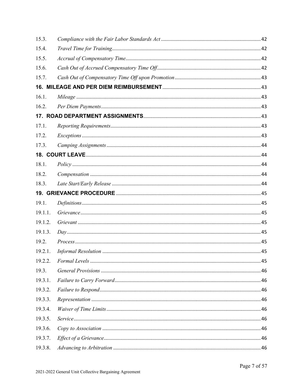| 15.3.   |  |
|---------|--|
| 15.4.   |  |
| 15.5.   |  |
| 15.6.   |  |
| 15.7.   |  |
|         |  |
| 16.1.   |  |
| 16.2.   |  |
|         |  |
| 17.1.   |  |
| 17.2.   |  |
| 17.3.   |  |
|         |  |
| 18.1.   |  |
| 18.2.   |  |
| 18.3.   |  |
|         |  |
| 19.1.   |  |
| 19.1.1. |  |
| 19.1.2. |  |
| 19.1.3. |  |
| 19.2.   |  |
| 19.2.1. |  |
| 19.2.2. |  |
| 19.3.   |  |
| 19.3.1. |  |
| 19.3.2. |  |
| 19.3.3. |  |
| 19.3.4. |  |
| 19.3.5. |  |
| 19.3.6. |  |
| 19.3.7. |  |
| 19.3.8. |  |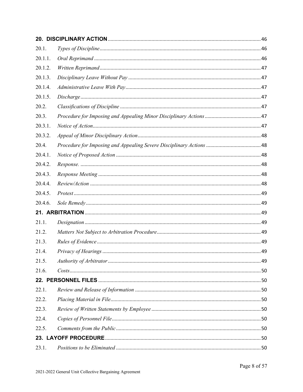| 20.1.   |  |
|---------|--|
| 20.1.1. |  |
| 20.1.2. |  |
| 20.1.3. |  |
| 20.1.4. |  |
| 20.1.5. |  |
| 20.2.   |  |
| 20.3.   |  |
| 20.3.1. |  |
| 20.3.2. |  |
| 20.4.   |  |
| 20.4.1. |  |
| 20.4.2. |  |
| 20.4.3. |  |
| 20.4.4. |  |
| 20.4.5. |  |
| 20.4.6. |  |
|         |  |
| 21.1.   |  |
| 21.2.   |  |
| 21.3.   |  |
| 21.4.   |  |
| 21.5.   |  |
| 21.6.   |  |
|         |  |
| 22.1.   |  |
| 22.2.   |  |
| 22.3.   |  |
| 22.4.   |  |
| 22.5.   |  |
|         |  |
| 23.1.   |  |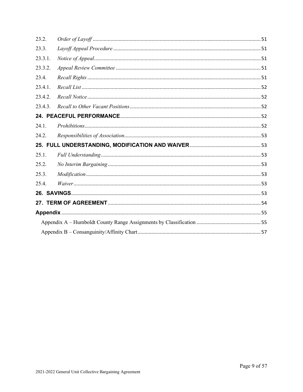| 23.2.   |  |  |
|---------|--|--|
| 23.3.   |  |  |
| 23.3.1. |  |  |
| 23.3.2. |  |  |
| 23.4.   |  |  |
| 23.4.1. |  |  |
| 23.4.2. |  |  |
| 23.4.3. |  |  |
|         |  |  |
| 24.1.   |  |  |
| 24.2.   |  |  |
|         |  |  |
| 25.1.   |  |  |
| 25.2.   |  |  |
| 25.3.   |  |  |
| 25.4.   |  |  |
|         |  |  |
|         |  |  |
|         |  |  |
|         |  |  |
|         |  |  |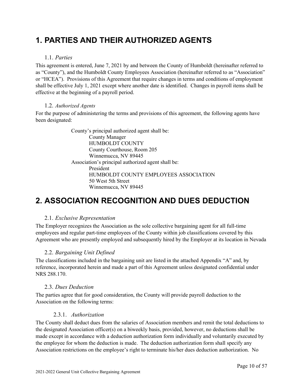## <span id="page-10-0"></span>**1. PARTIES AND THEIR AUTHORIZED AGENTS**

#### 1.1. *Parties*

<span id="page-10-1"></span>This agreement is entered, June 7, 2021 by and between the County of Humboldt (hereinafter referred to as "County"), and the Humboldt County Employees Association (hereinafter referred to as "Association" or "HCEA"). Provisions of this Agreement that require changes in terms and conditions of employment shall be effective July 1, 2021 except where another date is identified. Changes in payroll items shall be effective at the beginning of a payroll period.

#### <span id="page-10-2"></span>1.2. *Authorized Agents*

For the purpose of administering the terms and provisions of this agreement, the following agents have been designated:

> County's principal authorized agent shall be: County Manager HUMBOLDT COUNTY County Courthouse, Room 205 Winnemucca, NV 89445 Association's principal authorized agent shall be: President HUMBOLDT COUNTY EMPLOYEES ASSOCIATION 50 West 5th Street Winnemucca, NV 89445

## <span id="page-10-3"></span>**2. ASSOCIATION RECOGNITION AND DUES DEDUCTION**

#### 2.1. *Exclusive Representation*

<span id="page-10-4"></span>The Employer recognizes the Association as the sole collective bargaining agent for all full-time employees and regular part-time employees of the County within job classifications covered by this Agreement who are presently employed and subsequently hired by the Employer at its location in Nevada

#### <span id="page-10-5"></span>2.2. *Bargaining Unit Defined*

The classifications included in the bargaining unit are listed in the attached Appendix "A" and, by reference, incorporated herein and made a part of this Agreement unless designated confidential under NRS 288.170.

#### <span id="page-10-6"></span>2.3. *Dues Deduction*

The parties agree that for good consideration, the County will provide payroll deduction to the Association on the following terms:

#### 2.3.1. *Authorization*

<span id="page-10-7"></span>The County shall deduct dues from the salaries of Association members and remit the total deductions to the designated Association officer(s) on a biweekly basis, provided, however, no deductions shall be made except in accordance with a deduction authorization form individually and voluntarily executed by the employee for whom the deduction is made. The deduction authorization form shall specify any Association restrictions on the employee's right to terminate his/her dues deduction authorization. No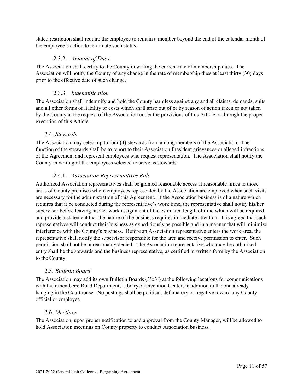stated restriction shall require the employee to remain a member beyond the end of the calendar month of the employee's action to terminate such status.

#### 2.3.2. *Amount of Dues*

<span id="page-11-0"></span>The Association shall certify to the County in writing the current rate of membership dues. The Association will notify the County of any change in the rate of membership dues at least thirty (30) days prior to the effective date of such change.

#### 2.3.3. *Indemnification*

<span id="page-11-1"></span>The Association shall indemnify and hold the County harmless against any and all claims, demands, suits and all other forms of liability or costs which shall arise out of or by reason of action taken or not taken by the County at the request of the Association under the provisions of this Article or through the proper execution of this Article.

#### <span id="page-11-2"></span>2.4. *Stewards*

The Association may select up to four (4) stewards from among members of the Association. The function of the stewards shall be to report to their Association President grievances or alleged infractions of the Agreement and represent employees who request representation. The Association shall notify the County in writing of the employees selected to serve as stewards.

#### 2.4.1. *Association Representatives Role*

<span id="page-11-3"></span>Authorized Association representatives shall be granted reasonable access at reasonable times to those areas of County premises where employees represented by the Association are employed when such visits are necessary for the administration of this Agreement. If the Association business is of a nature which requires that it be conducted during the representative's work time, the representative shall notify his/her supervisor before leaving his/her work assignment of the estimated length of time which will be required and provide a statement that the nature of the business requires immediate attention. It is agreed that such representatives will conduct their business as expeditiously as possible and in a manner that will minimize interference with the County's business. Before an Association representative enters the work area, the representative shall notify the supervisor responsible for the area and receive permission to enter. Such permission shall not be unreasonably denied. The Association representative who may be authorized entry shall be the stewards and the business representative, as certified in written form by the Association to the County.

#### <span id="page-11-4"></span>2.5. *Bulletin Board*

The Association may add its own Bulletin Boards  $(3'x3')$  at the following locations for communications with their members: Road Department, Library, Convention Center, in addition to the one already hanging in the Courthouse. No postings shall be political, defamatory or negative toward any County official or employee.

#### <span id="page-11-5"></span>2.6. *Meetings*

The Association, upon proper notification to and approval from the County Manager, will be allowed to hold Association meetings on County property to conduct Association business.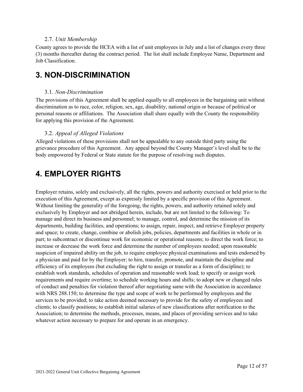#### 2.7. *Unit Membership*

<span id="page-12-0"></span>County agrees to provide the HCEA with a list of unit employees in July and a list of changes every three (3) months thereafter during the contract period. The list shall include Employee Name, Department and Job Classification.

## <span id="page-12-1"></span>**3. NON-DISCRIMINATION**

#### 3.1. *Non-Discrimination*

<span id="page-12-2"></span>The provisions of this Agreement shall be applied equally to all employees in the bargaining unit without discrimination as to race, color, religion, sex, age, disability, national origin or because of political or personal reasons or affiliations. The Association shall share equally with the County the responsibility for applying this provision of the Agreement.

#### <span id="page-12-3"></span>3.2. *Appeal of Alleged Violations*

Alleged violations of these provisions shall not be appealable to any outside third party using the grievance procedure of this Agreement. Any appeal beyond the County Manager's level shall be to the body empowered by Federal or State statute for the purpose of resolving such disputes.

## <span id="page-12-4"></span>**4. EMPLOYER RIGHTS**

Employer retains, solely and exclusively, all the rights, powers and authority exercised or held prior to the execution of this Agreement, except as expressly limited by a specific provision of this Agreement. Without limiting the generality of the foregoing, the rights, powers, and authority retained solely and exclusively by Employer and not abridged herein, include, but are not limited to the following: To manage and direct its business and personnel; to manage, control, and determine the mission of its departments, building facilities, and operations; to assign, repair, inspect, and retrieve Employer property and space; to create, change, combine or abolish jobs, policies, departments and facilities in whole or in part; to subcontract or discontinue work for economic or operational reasons; to direct the work force; to increase or decrease the work force and determine the number of employees needed; upon reasonable suspicion of impaired ability on the job, to require employee physical examinations and tests endorsed by a physician and paid for by the Employer; to hire, transfer, promote, and maintain the discipline and efficiency of its employees (but excluding the right to assign or transfer as a form of discipline); to establish work standards, schedules of operation and reasonable work load; to specify or assign work requirements and require overtime; to schedule working hours and shifts; to adopt new or changed rules of conduct and penalties for violation thereof after negotiating same with the Association in accordance with NRS 288.150; to determine the type and scope of work to be performed by employees and the services to be provided; to take action deemed necessary to provide for the safety of employees and clients; to classify positions; to establish initial salaries of new classifications after notification to the Association; to determine the methods, processes, means, and places of providing services and to take whatever action necessary to prepare for and operate in an emergency.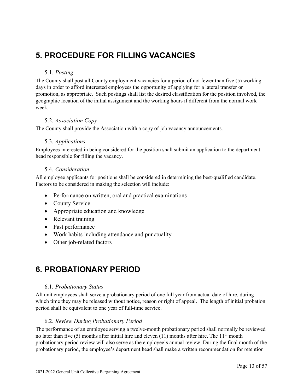## <span id="page-13-0"></span>**5. PROCEDURE FOR FILLING VACANCIES**

#### 5.1. *Posting*

<span id="page-13-1"></span>The County shall post all County employment vacancies for a period of not fewer than five (5) working days in order to afford interested employees the opportunity of applying for a lateral transfer or promotion, as appropriate. Such postings shall list the desired classification for the position involved, the geographic location of the initial assignment and the working hours if different from the normal work week.

#### <span id="page-13-2"></span>5.2. *Association Copy*

<span id="page-13-3"></span>The County shall provide the Association with a copy of job vacancy announcements.

#### 5.3. *Applications*

Employees interested in being considered for the position shall submit an application to the department head responsible for filling the vacancy.

#### <span id="page-13-4"></span>5.4. *Consideration*

All employee applicants for positions shall be considered in determining the best-qualified candidate. Factors to be considered in making the selection will include:

- Performance on written, oral and practical examinations
- County Service
- Appropriate education and knowledge
- Relevant training
- Past performance
- Work habits including attendance and punctuality
- Other job-related factors

## <span id="page-13-5"></span>**6. PROBATIONARY PERIOD**

#### 6.1. *Probationary Status*

<span id="page-13-6"></span>All unit employees shall serve a probationary period of one full year from actual date of hire, during which time they may be released without notice, reason or right of appeal. The length of initial probation period shall be equivalent to one year of full-time service.

#### <span id="page-13-7"></span>6.2. *Review During Probationary Period*

The performance of an employee serving a twelve-month probationary period shall normally be reviewed no later than five  $(5)$  months after initial hire and eleven  $(11)$  months after hire. The  $11<sup>th</sup>$  month probationary period review will also serve as the employee's annual review. During the final month of the probationary period, the employee's department head shall make a written recommendation for retention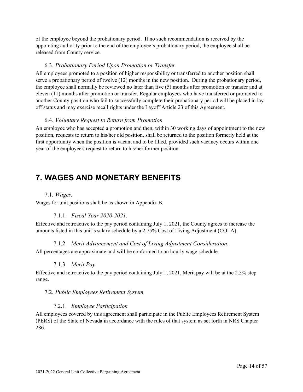of the employee beyond the probationary period. If no such recommendation is received by the appointing authority prior to the end of the employee's probationary period, the employee shall be released from County service.

#### <span id="page-14-0"></span>6.3. *Probationary Period Upon Promotion or Transfer*

All employees promoted to a position of higher responsibility or transferred to another position shall serve a probationary period of twelve (12) months in the new position. During the probationary period, the employee shall normally be reviewed no later than five (5) months after promotion or transfer and at eleven (11) months after promotion or transfer. Regular employees who have transferred or promoted to another County position who fail to successfully complete their probationary period will be placed in layoff status and may exercise recall rights under the Layoff Article 23 of this Agreement.

#### <span id="page-14-1"></span>6.4. *Voluntary Request to Return from Promotion*

An employee who has accepted a promotion and then, within 30 working days of appointment to the new position, requests to return to his/her old position, shall be returned to the position formerly held at the first opportunity when the position is vacant and to be filled, provided such vacancy occurs within one year of the employee's request to return to his/her former position.

## <span id="page-14-2"></span>**7. WAGES AND MONETARY BENEFITS**

#### 7.1. *Wages.*

<span id="page-14-4"></span><span id="page-14-3"></span>Wages for unit positions shall be as shown in Appendix B.

#### 7.1.1. *Fiscal Year 2020-2021.*

Effective and retroactive to the pay period containing July 1, 2021, the County agrees to increase the amounts listed in this unit's salary schedule by a 2.75% Cost of Living Adjustment (COLA).

#### 7.1.2. *Merit Advancement and Cost of Living Adjustment Consideration*.

<span id="page-14-6"></span><span id="page-14-5"></span>All percentages are approximate and will be conformed to an hourly wage schedule.

#### 7.1.3. *Merit Pay*

Effective and retroactive to the pay period containing July 1, 2021, Merit pay will be at the 2.5% step range.

#### <span id="page-14-7"></span>7.2. *Public Employees Retirement System*

#### 7.2.1. *Employee Participation*

<span id="page-14-8"></span>All employees covered by this agreement shall participate in the Public Employees Retirement System (PERS) of the State of Nevada in accordance with the rules of that system as set forth in NRS Chapter 286.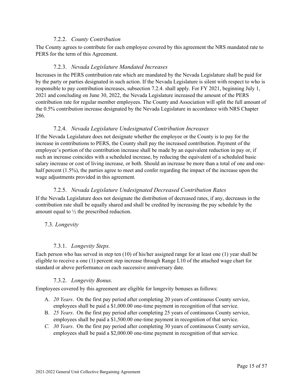#### 7.2.2. *County Contribution*

<span id="page-15-0"></span>The County agrees to contribute for each employee covered by this agreement the NRS mandated rate to PERS for the term of this Agreement.

#### 7.2.3. *Nevada Legislature Mandated Increases*

<span id="page-15-1"></span>Increases in the PERS contribution rate which are mandated by the Nevada Legislature shall be paid for by the party or parties designated in such action. If the Nevada Legislature is silent with respect to who is responsible to pay contribution increases, subsection 7.2.4. shall apply. For FY 2021, beginning July 1, 2021 and concluding on June 30, 2022, the Nevada Legislature increased the amount of the PERS contribution rate for regular member employees. The County and Association will split the full amount of the 0.5% contribution increase designated by the Nevada Legislature in accordance with NRS Chapter 286.

#### 7.2.4. *Nevada Legislature Undesignated Contribution Increases*

<span id="page-15-2"></span>If the Nevada Legislature does not designate whether the employee or the County is to pay for the increase in contributions to PERS, the County shall pay the increased contribution. Payment of the employee's portion of the contribution increase shall be made by an equivalent reduction in pay or, if such an increase coincides with a scheduled increase, by reducing the equivalent of a scheduled basic salary increase or cost of living increase, or both. Should an increase be more than a total of one and onehalf percent  $(1.5\%)$ , the parties agree to meet and confer regarding the impact of the increase upon the wage adjustments provided in this agreement.

#### 7.2.5. *Nevada Legislature Undesignated Decreased Contribution Rates*

<span id="page-15-3"></span>If the Nevada Legislature does not designate the distribution of decreased rates, if any, decreases in the contribution rate shall be equally shared and shall be credited by increasing the pay schedule by the amount equal to  $\frac{1}{2}$  the prescribed reduction.

#### <span id="page-15-4"></span>7.3. *Longevity*

#### 7.3.1. *Longevity Steps.*

<span id="page-15-5"></span>Each person who has served in step ten (10) of his/her assigned range for at least one (1) year shall be eligible to receive a one (1) percent step increase through Range L10 of the attached wage chart for standard or above performance on each successive anniversary date.

#### 7.3.2. *Longevity Bonus.*

<span id="page-15-6"></span>Employees covered by this agreement are eligible for longevity bonuses as follows:

- A. *20 Years*. On the first pay period after completing 20 years of continuous County service, employees shall be paid a \$1,000.00 one-time payment in recognition of that service.
- B. *25 Years*. On the first pay period after completing 25 years of continuous County service, employees shall be paid a \$1,500.00 one-time payment in recognition of that service.
- *C. 30 Years*. On the first pay period after completing 30 years of continuous County service, employees shall be paid a \$2,000.00 one-time payment in recognition of that service.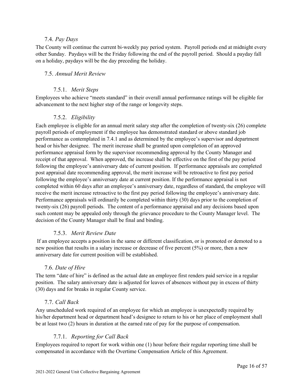#### 7.4. *Pay Days*

<span id="page-16-0"></span>The County will continue the current bi-weekly pay period system. Payroll periods end at midnight every other Sunday. Paydays will be the Friday following the end of the payroll period. Should a payday fall on a holiday, paydays will be the day preceding the holiday.

#### <span id="page-16-1"></span>7.5. *Annual Merit Review*

#### 7.5.1. *Merit Steps*

<span id="page-16-2"></span>Employees who achieve "meets standard" in their overall annual performance ratings will be eligible for advancement to the next higher step of the range or longevity steps.

#### 7.5.2. *Eligibility*

<span id="page-16-3"></span>Each employee is eligible for an annual merit salary step after the completion of twenty-six (26) complete payroll periods of employment if the employee has demonstrated standard or above standard job performance as contemplated in 7.4.1 and as determined by the employee's supervisor and department head or his/her designee. The merit increase shall be granted upon completion of an approved performance appraisal form by the supervisor recommending approval by the County Manager and receipt of that approval. When approved, the increase shall be effective on the first of the pay period following the employee's anniversary date of current position. If performance appraisals are completed post appraisal date recommending approval, the merit increase will be retroactive to first pay period following the employee's anniversary date at current position. If the performance appraisal is not completed within 60 days after an employee's anniversary date, regardless of standard, the employee will receive the merit increase retroactive to the first pay period following the employee's anniversary date. Performance appraisals will ordinarily be completed within thirty (30) days prior to the completion of twenty-six (26) payroll periods. The content of a performance appraisal and any decisions based upon such content may be appealed only through the grievance procedure to the County Manager level. The decision of the County Manager shall be final and binding.

#### 7.5.3. *Merit Review Date*

<span id="page-16-4"></span>If an employee accepts a position in the same or different classification, or is promoted or demoted to a new position that results in a salary increase or decrease of five percent (5%) or more, then a new anniversary date for current position will be established.

#### <span id="page-16-5"></span>7.6. *Date of Hire*

The term "date of hire" is defined as the actual date an employee first renders paid service in a regular position. The salary anniversary date is adjusted for leaves of absences without pay in excess of thirty (30) days and for breaks in regular County service.

#### <span id="page-16-6"></span>7.7. *Call Back*

Any unscheduled work required of an employee for which an employee is unexpectedly required by his/her department head or department head's designee to return to his or her place of employment shall be at least two (2) hours in duration at the earned rate of pay for the purpose of compensation.

#### 7.7.1. *Reporting for Call Back*

<span id="page-16-7"></span>Employees required to report for work within one (1) hour before their regular reporting time shall be compensated in accordance with the Overtime Compensation Article of this Agreement.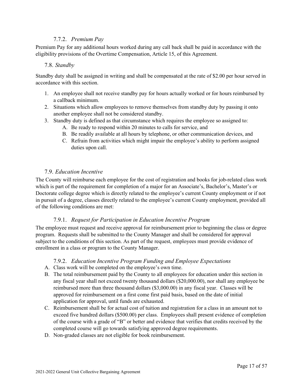#### 7.7.2. *Premium Pay*

<span id="page-17-0"></span>Premium Pay for any additional hours worked during any call back shall be paid in accordance with the eligibility provisions of the Overtime Compensation, Article 15, of this Agreement.

#### 7.8. *Standby*

Standby duty shall be assigned in writing and shall be compensated at the rate of \$2.00 per hour served in accordance with this section.

- 1. An employee shall not receive standby pay for hours actually worked or for hours reimbursed by a callback minimum.
- 2. Situations which allow employees to remove themselves from standby duty by passing it onto another employee shall not be considered standby.
- 3. Standby duty is defined as that circumstance which requires the employee so assigned to:
	- A. Be ready to respond within 20 minutes to calls for service, and
	- B. Be readily available at all hours by telephone, or other communication devices, and
	- C. Refrain from activities which might impair the employee's ability to perform assigned duties upon call.

#### <span id="page-17-1"></span>7.9. *Education Incentive*

The County will reimburse each employee for the cost of registration and books for job-related class work which is part of the requirement for completion of a major for an Associate's, Bachelor's, Master's or Doctorate college degree which is directly related to the employee's current County employment or if not in pursuit of a degree, classes directly related to the employee's current County employment, provided all of the following conditions are met:

#### 7.9.1. *Request for Participation in Education Incentive Program*

<span id="page-17-2"></span>The employee must request and receive approval for reimbursement prior to beginning the class or degree program. Requests shall be submitted to the County Manager and shall be considered for approval subject to the conditions of this section. As part of the request, employees must provide evidence of enrollment in a class or program to the County Manager.

#### 7.9.2. *Education Incentive Program Funding and Employee Expectations*

- <span id="page-17-3"></span>A. Class work will be completed on the employee's own time.
- B. The total reimbursement paid by the County to all employees for education under this section in any fiscal year shall not exceed twenty thousand dollars (\$20,000.00), nor shall any employee be reimbursed more than three thousand dollars (\$3,000.00) in any fiscal year. Classes will be approved for reimbursement on a first come first paid basis, based on the date of initial application for approval, until funds are exhausted.
- C. Reimbursement shall be for actual cost of tuition and registration for a class in an amount not to exceed five hundred dollars (\$500.00) per class. Employees shall present evidence of completion of the course with a grade of "B" or better and evidence that verifies that credits received by the completed course will go towards satisfying approved degree requirements.
- D. Non-graded classes are not eligible for book reimbursement.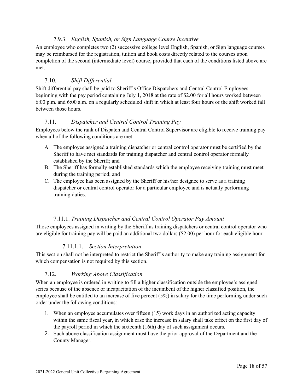#### 7.9.3. *English, Spanish, or Sign Language Course Incentive*

<span id="page-18-0"></span>An employee who completes two (2) successive college level English, Spanish, or Sign language courses may be reimbursed for the registration, tuition and book costs directly related to the courses upon completion of the second (intermediate level) course, provided that each of the conditions listed above are met.

#### <span id="page-18-1"></span>7.10. *Shift Differential*

Shift differential pay shall be paid to Sheriff's Office Dispatchers and Central Control Employees beginning with the pay period containing July 1, 2018 at the rate of \$2.00 for all hours worked between 6:00 p.m. and 6:00 a.m. on a regularly scheduled shift in which at least four hours of the shift worked fall between those hours.

#### <span id="page-18-2"></span>7.11. *Dispatcher and Central Control Training Pay*

Employees below the rank of Dispatch and Central Control Supervisor are eligible to receive training pay when all of the following conditions are met:

- A. The employee assigned a training dispatcher or central control operator must be certified by the Sheriff to have met standards for training dispatcher and central control operator formally established by the Sheriff; and
- B. The Sheriff has formally established standards which the employee receiving training must meet during the training period; and
- C. The employee has been assigned by the Sheriff or his/her designee to serve as a training dispatcher or central control operator for a particular employee and is actually performing training duties.

#### 7.11.1. *Training Dispatcher and Central Control Operator Pay Amount*

<span id="page-18-3"></span>Those employees assigned in writing by the Sheriff as training dispatchers or central control operator who are eligible for training pay will be paid an additional two dollars (\$2.00) per hour for each eligible hour.

#### 7.11.1.1. *Section Interpretation*

<span id="page-18-4"></span>This section shall not be interpreted to restrict the Sheriff's authority to make any training assignment for which compensation is not required by this section.

#### <span id="page-18-5"></span>7.12. *Working Above Classification*

When an employee is ordered in writing to fill a higher classification outside the employee's assigned series because of the absence or incapacitation of the incumbent of the higher classified position, the employee shall be entitled to an increase of five percent (5%) in salary for the time performing under such order under the following conditions:

- 1. When an employee accumulates over fifteen (15) work days in an authorized acting capacity within the same fiscal year, in which case the increase in salary shall take effect on the first day of the payroll period in which the sixteenth (16th) day of such assignment occurs.
- 2. Such above classification assignment must have the prior approval of the Department and the County Manager.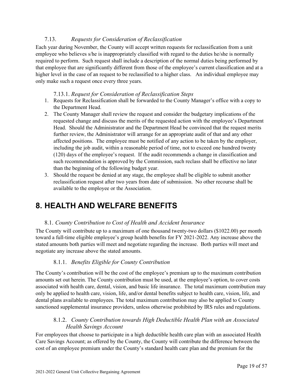#### 7.13. *Requests for Consideration of Reclassification*

<span id="page-19-0"></span>Each year during November, the County will accept written requests for reclassification from a unit employee who believes s/he is inappropriately classified with regard to the duties he/she is normally required to perform. Such request shall include a description of the normal duties being performed by that employee that are significantly different from those of the employee's current classification and at a higher level in the case of an request to be reclassified to a higher class. An individual employee may only make such a request once every three years.

#### 7.13.1. *Request for Consideration of Reclassification Steps*

- <span id="page-19-1"></span>1. Requests for Reclassification shall be forwarded to the County Manager's office with a copy to the Department Head.
- 2. The County Manager shall review the request and consider the budgetary implications of the requested change and discuss the merits of the requested action with the employee's Department Head. Should the Administrator and the Department Head be convinced that the request merits further review, the Administrator will arrange for an appropriate audit of that and any other affected positions. The employee must be notified of any action to be taken by the employer, including the job audit, within a reasonable period of time, not to exceed one hundred twenty (120) days of the employee's request. If the audit recommends a change in classification and such recommendation is approved by the Commission, such reclass shall be effective no later than the beginning of the following budget year.
- 3. Should the request be denied at any stage, the employee shall be eligible to submit another reclassification request after two years from date of submission. No other recourse shall be available to the employee or the Association.

## <span id="page-19-2"></span>**8. HEALTH AND WELFARE BENEFITS**

#### 8.1. *County Contribution to Cost of Health and Accident Insurance*

<span id="page-19-3"></span>The County will contribute up to a maximum of one thousand twenty-two dollars (\$1022.00) per month toward a full-time eligible employee's group health benefits for FY 2021-2022. Any increase above the stated amounts both parties will meet and negotiate regarding the increase. Both parties will meet and negotiate any increase above the stated amounts.

#### 8.1.1. *Benefits Eligible for County Contribution*

The County's contribution will be the cost of the employee's premium up to the maximum contribution amounts set out herein. The County contribution must be used, at the employee's option, to cover costs associated with health care, dental, vision, and basic life insurance. The total maximum contribution may only be applied to health care, vision, life, and/or dental benefits subject to health care, vision, life, and dental plans available to employees. The total maximum contribution may also be applied to County sanctioned supplemental insurance providers, unless otherwise prohibited by IRS rules and regulations.

#### 8.1.2. *County Contribution towards High Deductible Health Plan with an Associated Health Savings Account*

<span id="page-19-4"></span>For employees that choose to participate in a high deductible health care plan with an associated Health Care Savings Account; as offered by the County, the County will contribute the difference between the cost of an employee premium under the County's standard health care plan and the premium for the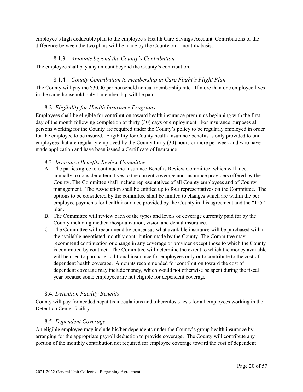employee's high deductible plan to the employee's Health Care Savings Account. Contributions of the difference between the two plans will be made by the County on a monthly basis.

#### 8.1.3. *Amounts beyond the County's Contribution*

<span id="page-20-0"></span>The employee shall pay any amount beyond the County's contribution.

#### 8.1.4. *County Contribution to membership in Care Flight's Flight Plan*

<span id="page-20-1"></span>The County will pay the \$30.00 per household annual membership rate. If more than one employee lives in the same household only 1 membership will be paid.

#### <span id="page-20-2"></span>8.2. *Eligibility for Health Insurance Programs*

Employees shall be eligible for contribution toward health insurance premiums beginning with the first day of the month following completion of thirty (30) days of employment. For insurance purposes all persons working for the County are required under the County's policy to be regularly employed in order for the employee to be insured. Eligibility for County health insurance benefits is only provided to unit employees that are regularly employed by the County thirty (30) hours or more per week and who have made application and have been issued a Certificate of Insurance.

#### <span id="page-20-3"></span>8.3. *Insurance Benefits Review Committee.*

- A. The parties agree to continue the Insurance Benefits Review Committee, which will meet annually to consider alternatives to the current coverage and insurance providers offered by the County. The Committee shall include representatives of all County employees and of County management. The Association shall be entitled up to four representatives on the Committee. The options to be considered by the committee shall be limited to changes which are within the per employee payments for health insurance provided by the County in this agreement and the "125" plan.
- B. The Committee will review each of the types and levels of coverage currently paid for by the County including medical/hospitalization, vision and dental insurance.
- C. The Committee will recommend by consensus what available insurance will be purchased within the available negotiated monthly contribution made by the County. The Committee may recommend continuation or change in any coverage or provider except those to which the County is committed by contract. The Committee will determine the extent to which the money available will be used to purchase additional insurance for employees only or to contribute to the cost of dependent health coverage. Amounts recommended for contribution toward the cost of dependent coverage may include money, which would not otherwise be spent during the fiscal year because some employees are not eligible for dependent coverage.

#### 8.4. *Detention Facility Benefits*

<span id="page-20-4"></span>County will pay for needed hepatitis inoculations and tuberculosis tests for all employees working in the Detention Center facility.

#### <span id="page-20-5"></span>8.5. *Dependent Coverage*

An eligible employee may include his/her dependents under the County's group health insurance by arranging for the appropriate payroll deduction to provide coverage. The County will contribute any portion of the monthly contribution not required for employee coverage toward the cost of dependent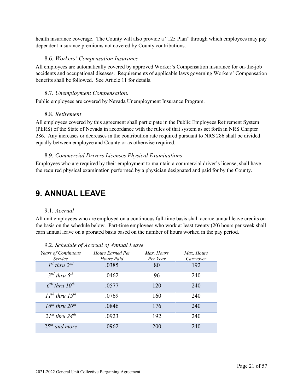health insurance coverage. The County will also provide a "125 Plan" through which employees may pay dependent insurance premiums not covered by County contributions.

#### <span id="page-21-0"></span>8.6. *Workers' Compensation Insurance*

All employees are automatically covered by approved Worker's Compensation insurance for on-the-job accidents and occupational diseases. Requirements of applicable laws governing Workers' Compensation benefits shall be followed. See Article 11 for details.

#### <span id="page-21-1"></span>8.7. *Unemployment Compensation.*

<span id="page-21-2"></span>Public employees are covered by Nevada Unemployment Insurance Program.

#### 8.8. *Retirement*

All employees covered by this agreement shall participate in the Public Employees Retirement System (PERS) of the State of Nevada in accordance with the rules of that system as set forth in NRS Chapter 286. Any increases or decreases in the contribution rate required pursuant to NRS 286 shall be divided equally between employee and County or as otherwise required.

#### <span id="page-21-3"></span>8.9. *Commercial Drivers Licenses Physical Examinations*

Employees who are required by their employment to maintain a commercial driver's license, shall have the required physical examination performed by a physician designated and paid for by the County.

## <span id="page-21-4"></span>**9. ANNUAL LEAVE**

#### 9.1. *Accrual*

<span id="page-21-5"></span>All unit employees who are employed on a continuous full-time basis shall accrue annual leave credits on the basis on the schedule below. Part-time employees who work at least twenty (20) hours per week shall earn annual leave on a prorated basis based on the number of hours worked in the pay period.

<span id="page-21-6"></span>

| Years of Continuous<br>Service | Hours Earned Per<br>Hours Paid | Max. Hours<br>Per Year | Max. Hours<br>Carryover |
|--------------------------------|--------------------------------|------------------------|-------------------------|
| $I^{st}$ thru $2^{nd}$         | .0385                          | 80                     | 192                     |
| $3^{rd}$ thru $5^{th}$         | .0462                          | 96                     | 240                     |
| $6^{th}$ thru $10^{th}$        | .0577                          | 120                    | 240                     |
| $11^{th}$ thru $15^{th}$       | .0769                          | 160                    | 240                     |
| $16^{th}$ thru $20^{th}$       | .0846                          | 176                    | 240                     |
| $21^{st}$ thru $24^{th}$       | .0923                          | 192                    | 240                     |
| $25th$ and more                | .0962                          | 200                    | 240                     |

|  | 9.2. Schedule of Accrual of Annual Leave |  |  |  |  |
|--|------------------------------------------|--|--|--|--|
|--|------------------------------------------|--|--|--|--|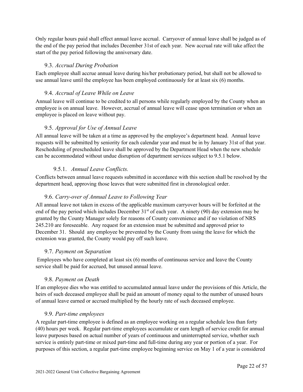Only regular hours paid shall effect annual leave accrual. Carryover of annual leave shall be judged as of the end of the pay period that includes December 31st of each year. New accrual rate will take affect the start of the pay period following the anniversary date.

#### <span id="page-22-0"></span>9.3. *Accrual During Probation*

Each employee shall accrue annual leave during his/her probationary period, but shall not be allowed to use annual leave until the employee has been employed continuously for at least six (6) months.

#### <span id="page-22-1"></span>9.4. *Accrual of Leave While on Leave*

Annual leave will continue to be credited to all persons while regularly employed by the County when an employee is on annual leave. However, accrual of annual leave will cease upon termination or when an employee is placed on leave without pay.

#### <span id="page-22-2"></span>9.5. *Approval for Use of Annual Leave*

All annual leave will be taken at a time as approved by the employee's department head. Annual leave requests will be submitted by seniority for each calendar year and must be in by January 31st of that year. Rescheduling of prescheduled leave shall be approved by the Department Head when the new schedule can be accommodated without undue disruption of department services subject to 9.5.1 below.

#### 9.5.1. *Annual Leave Conflicts.*

<span id="page-22-3"></span>Conflicts between annual leave requests submitted in accordance with this section shall be resolved by the department head, approving those leaves that were submitted first in chronological order.

#### <span id="page-22-4"></span>9.6. *Carry-over of Annual Leave to Following Year*

All annual leave not taken in excess of the applicable maximum carryover hours will be forfeited at the end of the pay period which includes December 31<sup>st</sup> of each year. A ninety (90) day extension may be granted by the County Manager solely for reasons of County convenience and if no violation of NRS 245.210 are foreseeable. Any request for an extension must be submitted and approved prior to December 31. Should any employee be prevented by the County from using the leave for which the extension was granted, the County would pay off such leave.

#### <span id="page-22-5"></span>9.7. *Payment on Separation*

Employees who have completed at least six (6) months of continuous service and leave the County service shall be paid for accrued, but unused annual leave.

#### <span id="page-22-6"></span>9.8. *Payment on Death*

If an employee dies who was entitled to accumulated annual leave under the provisions of this Article, the heirs of such deceased employee shall be paid an amount of money equal to the number of unused hours of annual leave earned or accrued multiplied by the hourly rate of such deceased employee.

#### <span id="page-22-7"></span>9.9. *Part-time employees*

A regular part-time employee is defined as an employee working on a regular schedule less than forty (40) hours per week. Regular part-time employees accumulate or earn length of service credit for annual leave purposes based on actual number of years of continuous and uninterrupted service, whether such service is entirely part-time or mixed part-time and full-time during any year or portion of a year. For purposes of this section, a regular part-time employee beginning service on May 1 of a year is considered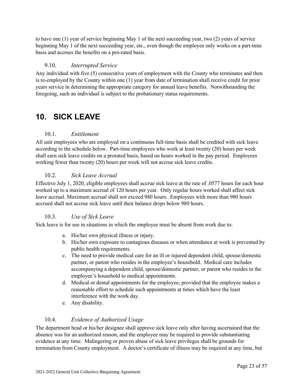to have one (1) year of service beginning May 1 of the next succeeding year, two (2) years of service beginning May 1 of the next succeeding year, etc., even though the employee only works on a part-time basis and accrues the benefits on a pro-rated basis.

#### <span id="page-23-0"></span>9.10. *Interrupted Service*

Any individual with five (5) consecutive years of employment with the County who terminates and then is re-employed by the County within one (1) year from date of termination shall receive credit for prior years service in determining the appropriate category for annual leave benefits. Notwithstanding the foregoing, such an individual is subject to the probationary status requirements.

## <span id="page-23-1"></span>**10. SICK LEAVE**

#### 10.1. *Entitlement*

<span id="page-23-2"></span>All unit employees who are employed on a continuous full-time basis shall be credited with sick leave according to the schedule below. Part-time employees who work at least twenty (20) hours per week shall earn sick leave credits on a prorated basis, based on hours worked in the pay period. Employees working fewer than twenty (20) hours per week will not accrue sick leave credits.

#### <span id="page-23-3"></span>10.2. *Sick Leave Accrual*

Effective July 1, 2020, eligible employees shall accrue sick leave at the rate of .0577 hours for each hour worked up to a maximum accrual of 120 hours per year. Only regular hours worked shall affect sick leave accrual. Maximum accrual shall not exceed 980 hours. Employees with more than 980 hours accrued shall not accrue sick leave until their balance drops below 980 hours.

#### <span id="page-23-4"></span>10.3. *Use of Sick Leave*

Sick leave is for use in situations in which the employee must be absent from work due to:

- a. His/her own physical illness or injury.
- b. His/her own exposure to contagious diseases or when attendance at work is prevented by public health requirements.
- c. The need to provide medical care for an ill or injured dependent child, spouse/domestic partner, or parent who resides in the employee's household. Medical care includes accompanying a dependent child, spouse/domestic partner, or parent who resides in the employee's household to medical appointments.
- d. Medical or dental appointments for the employee; provided that the employee makes a reasonable effort to schedule such appointments at times which have the least interference with the work day.
- e. Any disability.

#### 10.4. *Evidence of Authorized Usage*

<span id="page-23-5"></span>The department head or his/her designee shall approve sick leave only after having ascertained that the absence was for an authorized reason, and the employee may be required to provide substantiating evidence at any time. Malingering or proven abuse of sick leave privileges shall be grounds for termination from County employment. A doctor's certificate of illness may be required at any time, but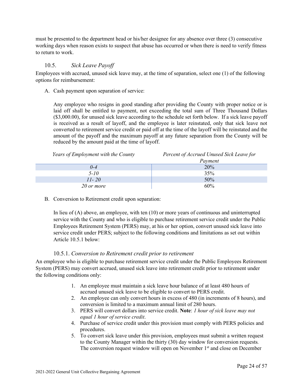must be presented to the department head or his/her designee for any absence over three (3) consecutive working days when reason exists to suspect that abuse has occurred or when there is need to verify fitness to return to work.

#### <span id="page-24-0"></span>10.5. *Sick Leave Payoff*

Employees with accrued, unused sick leave may, at the time of separation, select one (1) of the following options for reimbursement:

A. Cash payment upon separation of service:

Any employee who resigns in good standing after providing the County with proper notice or is laid off shall be entitled to payment, not exceeding the total sum of Three Thousand Dollars (\$3,000.00), for unused sick leave according to the schedule set forth below. If a sick leave payoff is received as a result of layoff, and the employee is later reinstated, only that sick leave not converted to retirement service credit or paid off at the time of the layoff will be reinstated and the amount of the payoff and the maximum payoff at any future separation from the County will be reduced by the amount paid at the time of layoff.

| Years of Employment with the County | Percent of Accrued Unused Sick Leave for |
|-------------------------------------|------------------------------------------|
|                                     | Payment                                  |
| $0 - 4$                             | 20%                                      |
| 5-10                                | 35%                                      |
| $11 - 20$                           | 50%                                      |
| 20 or more                          | 60%                                      |

B. Conversion to Retirement credit upon separation:

In lieu of (A) above, an employee, with ten (10) or more years of continuous and uninterrupted service with the County and who is eligible to purchase retirement service credit under the Public Employees Retirement System (PERS) may, at his or her option, convert unused sick leave into service credit under PERS; subject to the following conditions and limitations as set out within Article 10.5.1 below:

#### 10.5.1. *Conversion to Retirement credit prior to retirement*

<span id="page-24-1"></span>An employee who is eligible to purchase retirement service credit under the Public Employees Retirement System (PERS) may convert accrued, unused sick leave into retirement credit prior to retirement under the following conditions only:

- 1. An employee must maintain a sick leave hour balance of at least 480 hours of accrued unused sick leave to be eligible to convert to PERS credit.
- 2. An employee can only convert hours in excess of 480 (in increments of 8 hours), and conversion is limited to a maximum annual limit of 280 hours.
- 3. PERS will convert dollars into service credit. **Note**: *1 hour of sick leave may not equal 1 hour of service credit*.
- 4. Purchase of service credit under this provision must comply with PERS policies and procedures.
- 5. To convert sick leave under this provision, employees must submit a written request to the County Manager within the thirty (30) day window for conversion requests*.* The conversion request window will open on November 1<sup>st</sup> and close on December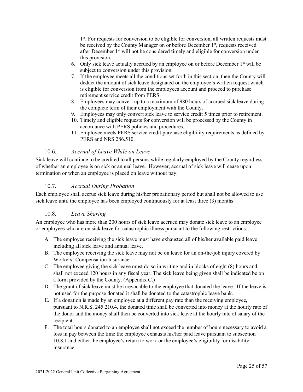$1<sup>st</sup>$ . For requests for conversion to be eligible for conversion, all written requests must be received by the County Manager on or before December 1<sup>st</sup>, requests received after December 1<sup>st</sup> will not be considered timely and eligible for conversion under this provision.

- 6. Only sick leave actually accrued by an employee on or before December  $1<sup>st</sup>$  will be subject to conversion under this provision.
- 7. If the employee meets all the conditions set forth in this section, then the County will deduct the amount of sick leave designated on the employee's written request which is eligible for conversion from the employees account and proceed to purchase retirement service credit from PERS.
- 8. Employees may convert up to a maximum of 980 hours of accrued sick leave during the complete term of their employment with the County.
- 9. Employees may only convert sick leave to service credit 5 times prior to retirement.
- 10. Timely and eligible requests for conversion will be processed by the County in accordance with PERS policies and procedures.
- 11. Employee meets PERS service credit purchase eligibility requirements as defined by PERS and NRS 286.510.

#### <span id="page-25-0"></span>10.6. *Accrual of Leave While on Leave*

Sick leave will continue to be credited to all persons while regularly employed by the County regardless of whether an employee is on sick or annual leave. However, accrual of sick leave will cease upon termination or when an employee is placed on leave without pay.

#### <span id="page-25-1"></span>10.7. *Accrual During Probation*

Each employee shall accrue sick leave during his/her probationary period but shall not be allowed to use sick leave until the employee has been employed continuously for at least three (3) months.

#### <span id="page-25-2"></span>10.8. *Leave Sharing*

An employee who has more than 200 hours of sick leave accrued may donate sick leave to an employee or employees who are on sick leave for catastrophic illness pursuant to the following restrictions:

- A. The employee receiving the sick leave must have exhausted all of his/her available paid leave including all sick leave and annual leave.
- B. The employee receiving the sick leave may not be on leave for an on-the-job injury covered by Workers' Compensation Insurance.
- C. The employee giving the sick leave must do so in writing and in blocks of eight (8) hours and shall not exceed 120 hours in any fiscal year. The sick leave being given shall be indicated be on a form provided by the County. (Appendix C.)
- D. The grant of sick leave must be irrevocable to the employee that donated the leave. If the leave is not used for the purpose donated it shall be donated to the catastrophic leave bank.
- E. If a donation is made by an employee at a different pay rate than the receiving employee, pursuant to N.R.S. 245.210.4, the donated time shall be converted into money at the hourly rate of the donor and the money shall then be converted into sick leave at the hourly rate of salary of the recipient.
- F. The total hours donated to an employee shall not exceed the number of hours necessary to avoid a loss in pay between the time the employee exhausts his/her paid leave pursuant to subsection 10.8.1 and either the employee's return to work or the employee's eligibility for disability insurance.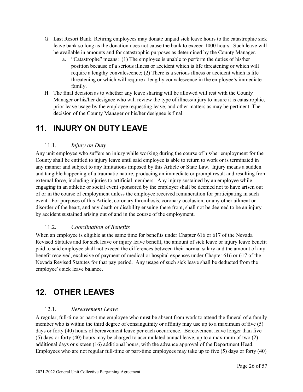- G. Last Resort Bank. Retiring employees may donate unpaid sick leave hours to the catastrophic sick leave bank so long as the donation does not cause the bank to exceed 1000 hours. Such leave will be available in amounts and for catastrophic purposes as determined by the County Manager.
	- a. "Catastrophe" means: (1) The employee is unable to perform the duties of his/her position because of a serious illness or accident which is life threatening or which will require a lengthy convalescence; (2) There is a serious illness or accident which is life threatening or which will require a lengthy convalescence in the employee's immediate family.
- H. The final decision as to whether any leave sharing will be allowed will rest with the County Manager or his/her designee who will review the type of illness/injury to insure it is catastrophic, prior leave usage by the employee requesting leave, and other matters as may be pertinent. The decision of the County Manager or his/her designee is final.

## <span id="page-26-0"></span>**11. INJURY ON DUTY LEAVE**

### 11.1. *Injury on Duty*

<span id="page-26-1"></span>Any unit employee who suffers an injury while working during the course of his/her employment for the County shall be entitled to injury leave until said employee is able to return to work or is terminated in any manner and subject to any limitations imposed by this Article or State Law. Injury means a sudden and tangible happening of a traumatic nature, producing an immediate or prompt result and resulting from external force, including injuries to artificial members. Any injury sustained by an employee while engaging in an athletic or social event sponsored by the employer shall be deemed not to have arisen out of or in the course of employment unless the employee received remuneration for participating in such event. For purposes of this Article, coronary thrombosis, coronary occlusion, or any other ailment or disorder of the heart, and any death or disability ensuing there from, shall not be deemed to be an injury by accident sustained arising out of and in the course of the employment.

### <span id="page-26-2"></span>11.2. *Coordination of Benefits*

When an employee is eligible at the same time for benefits under Chapter 616 or 617 of the Nevada Revised Statutes and for sick leave or injury leave benefit, the amount of sick leave or injury leave benefit paid to said employee shall not exceed the differences between their normal salary and the amount of any benefit received, exclusive of payment of medical or hospital expenses under Chapter 616 or 617 of the Nevada Revised Statutes for that pay period. Any usage of such sick leave shall be deducted from the employee's sick leave balance.

## <span id="page-26-3"></span>**12. OTHER LEAVES**

### 12.1. *Bereavement Leave*

<span id="page-26-4"></span>A regular, full-time or part-time employee who must be absent from work to attend the funeral of a family member who is within the third degree of consanguinity or affinity may use up to a maximum of five (5) days or forty (40) hours of bereavement leave per each occurrence. Bereavement leave longer than five (5) days or forty (40) hours may be charged to accumulated annual leave, up to a maximum of two (2) additional days or sixteen (16) additional hours, with the advance approval of the Department Head. Employees who are not regular full-time or part-time employees may take up to five (5) days or forty (40)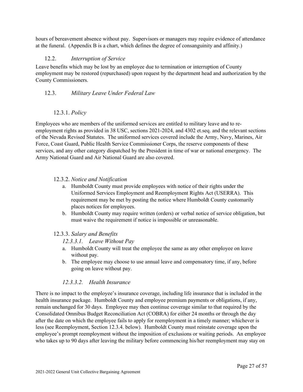hours of bereavement absence without pay. Supervisors or managers may require evidence of attendance at the funeral. (Appendix B is a chart, which defines the degree of consanguinity and affinity.)

#### <span id="page-27-0"></span>12.2. *Interruption of Service*

Leave benefits which may be lost by an employee due to termination or interruption of County employment may be restored (repurchased) upon request by the department head and authorization by the County Commissioners.

#### <span id="page-27-1"></span>12.3. *Military Leave Under Federal Law*

#### 12.3.1. *Policy*

Employees who are members of the uniformed services are entitled to military leave and to reemployment rights as provided in 38 USC, sections 2021-2024, and 4302 et.seq. and the relevant sections of the Nevada Revised Statutes. The uniformed services covered include the Army, Navy, Marines, Air Force, Coast Guard, Public Health Service Commissioner Corps, the reserve components of these services, and any other category dispatched by the President in time of war or national emergency. The Army National Guard and Air National Guard are also covered.

#### 12.3.2. *Notice and Notification*

- a. Humboldt County must provide employees with notice of their rights under the Uniformed Services Employment and Reemployment Rights Act (USERRA). This requirement may be met by posting the notice where Humboldt County customarily places notices for employees.
- b. Humboldt County may require written (orders) or verbal notice of service obligation, but must waive the requirement if notice is impossible or unreasonable.

#### 12.3.3. *Salary and Benefits*

*12.3.3.1. Leave Without Pay*

- a. Humboldt County will treat the employee the same as any other employee on leave without pay.
- b. The employee may choose to use annual leave and compensatory time, if any, before going on leave without pay.

#### *12.3.3.2. Health Insurance*

There is no impact to the employee's insurance coverage, including life insurance that is included in the health insurance package. Humboldt County and employee premium payments or obligations, if any, remain unchanged for 30 days. Employee may then continue coverage similar to that required by the Consolidated Omnibus Budget Reconciliation Act (COBRA) for either 24 months or through the day after the date on which the employee fails to apply for reemployment in a timely manner; whichever is less (see Reemployment, Section 12.3.4. below). Humboldt County must reinstate coverage upon the employee's prompt reemployment without the imposition of exclusions or waiting periods. An employee who takes up to 90 days after leaving the military before commencing his/her reemployment may stay on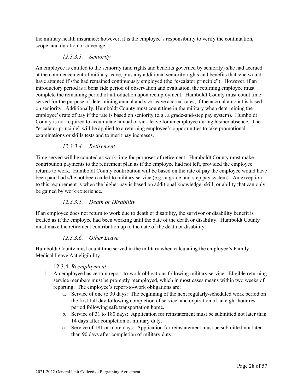the military health insurance; however, it is the employee's responsibility to verify the continuation, scope, and duration of coverage.

#### *12.3.3.3. Seniority*

An employee is entitled to the seniority (and rights and benefits governed by seniority) s/he had accrued at the commencement of military leave, plus any additional seniority rights and benefits that s/he would have attained if s/he had remained continuously employed (the "escalator principle"). However, if an introductory period is a bona fide period of observation and evaluation, the returning employee must complete the remaining period of introduction upon reemployment. Humboldt County must count time served for the purpose of determining annual and sick leave accrual rates, if the accrual amount is based on seniority. Additionally, Humboldt County must count time in the military when determining the employee's rate of pay if the rate is based on seniority (e.g., a grade-and-step pay system). Humboldt County is not required to accumulate annual or sick leave for an employee during his/her absence. The "escalator principle" will be applied to a returning employee's opportunities to take promotional examinations or skills tests and to merit pay increases.

#### *12.3.3.4. Retirement*

Time served will be counted as work time for purposes of retirement. Humboldt County must make contribution payments to the retirement plan as if the employee had not left, provided the employee returns to work. Humboldt County contribution will be based on the rate of pay the employee would have been paid had s/he not been called to military service (e.g., a grade-and-step pay system). An exception to this requirement is when the higher pay is based on additional knowledge, skill, or ability that can only be gained by work experience.

#### *12.3.3.5. Death or Disability*

If an employee does not return to work due to death or disability, the survivor or disability benefit is treated as if the employee had been working until the date of the death or disability. Humboldt County must make the retirement contribution up to the date of the death or disability.

#### *12.3.3.6. Other Leave*

Humboldt County must count time served in the military when calculating the employee's Family Medical Leave Act eligibility.

#### 12.3.4. *Reemployment*

- 1. An employee has certain report-to-work obligations following military service. Eligible returning service members must be promptly reemployed, which in most cases means within two weeks of reporting. The employee's report-to-work obligations are:
	- a. Service of one to 30 days: The beginning of the next regularly-scheduled work period on the first full day following completion of service, and expiration of an eight-hour rest period following safe transportation home.
	- b. Service of 31 to 180 days: Application for reinstatement must be submitted not later than 14 days after completion of military duty.
	- c. Service of 181 or more days: Application for reinstatement must be submitted not later than 90 days after completion of military duty.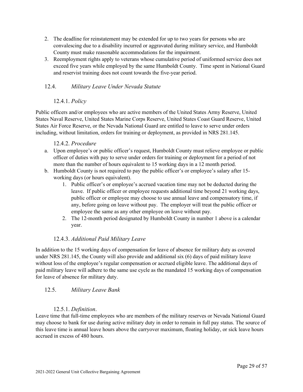- 2. The deadline for reinstatement may be extended for up to two years for persons who are convalescing due to a disability incurred or aggravated during military service, and Humboldt County must make reasonable accommodations for the impairment.
- 3. Reemployment rights apply to veterans whose cumulative period of uniformed service does not exceed five years while employed by the same Humboldt County. Time spent in National Guard and reservist training does not count towards the five-year period.

#### 12.4. *Military Leave Under Nevada Statute*

#### 12.4.1. *Policy*

Public officers and/or employees who are active members of the United States Army Reserve, United States Naval Reserve, United States Marine Corps Reserve, United States Coast Guard Reserve, United States Air Force Reserve, or the Nevada National Guard are entitled to leave to serve under orders including, without limitation, orders for training or deployment, as provided in NRS 281.145.

#### 12.4.2. *Procedure*

- a. Upon employee's or public officer's request, Humboldt County must relieve employee or public officer of duties with pay to serve under orders for training or deployment for a period of not more than the number of hours equivalent to 15 working days in a 12 month period.
- b. Humboldt County is not required to pay the public officer's or employee's salary after 15 working days (or hours equivalent).
	- 1. Public officer's or employee's accrued vacation time may not be deducted during the leave. If public officer or employee requests additional time beyond 21 working days, public officer or employee may choose to use annual leave and compensatory time, if any, before going on leave without pay. The employer will treat the public officer or employee the same as any other employee on leave without pay.
	- 2. The 12-month period designated by Humboldt County in number 1 above is a calendar year.

#### 12.4.3. *Additional Paid Military Leave*

In addition to the 15 working days of compensation for leave of absence for military duty as covered under NRS 281.145, the County will also provide and additional six (6) days of paid military leave without loss of the employee's regular compensation or accrued eligible leave. The additional days of paid military leave will adhere to the same use cycle as the mandated 15 working days of compensation for leave of absence for military duty.

#### <span id="page-29-0"></span>12.5. *Military Leave Bank*

#### 12.5.1. *Definition*.

<span id="page-29-1"></span>Leave time that full-time employees who are members of the military reserves or Nevada National Guard may choose to bank for use during active military duty in order to remain in full pay status. The source of this leave time is annual leave hours above the carryover maximum, floating holiday, or sick leave hours accrued in excess of 480 hours.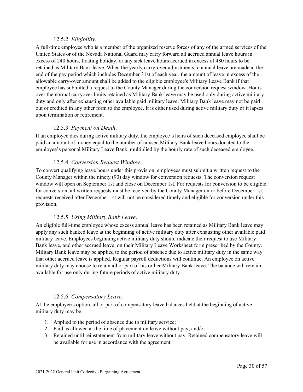#### 12.5.2. *Eligibility*.

<span id="page-30-0"></span>A full-time employee who is a member of the organized reserve forces of any of the armed services of the United States or of the Nevada National Guard may carry forward all accrued annual leave hours in excess of 240 hours, floating holiday, or any sick leave hours accrued in excess of 480 hours to be retained as Military Bank leave. When the yearly carry-over adjustments to annual leave are made at the end of the pay period which includes December 31st of each year, the amount of leave in excess of the allowable carry-over amount shall be added to the eligible employee's Military Leave Bank if that employee has submitted a request to the County Manager during the conversion request window. Hours over the normal carryover limits retained as Military Bank leave may be used only during active military duty and only after exhausting other available paid military leave. Military Bank leave may not be paid out or credited in any other form to the employee. It is either used during active military duty or it lapses upon termination or retirement.

#### 12.5.3. *Payment on Death*.

<span id="page-30-1"></span>If an employee dies during active military duty, the employee's heirs of such deceased employee shall be paid an amount of money equal to the number of unused Military Bank leave hours donated to the employee's personal Military Leave Bank, multiplied by the hourly rate of such deceased employee.

#### 12.5.4. *Conversion Request Window*.

<span id="page-30-2"></span>To convert qualifying leave hours under this provision, employees must submit a written request to the County Manager within the ninety (90) day window for conversion requests. The conversion request window will open on September 1st and close on December 1st. For requests for conversion to be eligible for conversion, all written requests must be received by the County Manager on or before December 1st, requests received after December 1st will not be considered timely and eligible for conversion under this provision.

#### 12.5.5. *Using Military Bank Leave*.

<span id="page-30-3"></span>An eligible full-time employee whose excess annual leave has been retained as Military Bank leave may apply any such banked leave at the beginning of active military duty after exhausting other available paid military leave. Employees beginning active military duty should indicate their request to use Military Bank leave, and other accrued leave, on their Military Leave Worksheet form prescribed by the County. Military Bank leave may be applied to the period of absence due to active military duty in the same way that other accrued leave is applied. Regular payroll deductions will continue. An employee on active military duty may choose to retain all or part of his or her Military Bank leave. The balance will remain available for use only during future periods of active military duty.

#### 12.5.6. *Compensatory Leave*.

<span id="page-30-4"></span>At the employee's option, all or part of compensatory leave balances held at the beginning of active military duty may be:

- 1. Applied to the period of absence due to military service;
- 2. Paid as allowed at the time of placement on leave without pay; and/or
- 3. Retained until reinstatement from military leave without pay. Retained compensatory leave will be available for use in accordance with the agreement.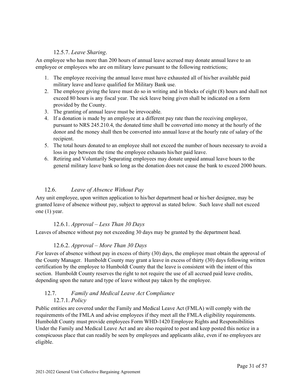#### 12.5.7. *Leave Sharing*.

<span id="page-31-0"></span>An employee who has more than 200 hours of annual leave accrued may donate annual leave to an employee or employees who are on military leave pursuant to the following restrictions;

- 1. The employee receiving the annual leave must have exhausted all of his/her available paid military leave and leave qualified for Military Bank use.
- 2. The employee giving the leave must do so in writing and in blocks of eight (8) hours and shall not exceed 80 hours is any fiscal year. The sick leave being given shall be indicated on a form provided by the County.
- 3. The granting of annual leave must be irrevocable.
- 4. If a donation is made by an employee at a different pay rate than the receiving employee, pursuant to NRS 245.210.4, the donated time shall be converted into money at the hourly of the donor and the money shall then be converted into annual leave at the hourly rate of salary of the recipient.
- 5. The total hours donated to an employee shall not exceed the number of hours necessary to avoid a loss in pay between the time the employee exhausts his/her paid leave.
- 6. Retiring and Voluntarily Separating employees may donate unpaid annual leave hours to the general military leave bank so long as the donation does not cause the bank to exceed 2000 hours.

### <span id="page-31-1"></span>12.6. *Leave of Absence Without Pay*

Any unit employee, upon written application to his/her department head or his/her designee, may be granted leave of absence without pay, subject to approval as stated below. Such leave shall not exceed one (1) year.

#### 12.6.1. *Approval – Less Than 30 Days*

<span id="page-31-3"></span><span id="page-31-2"></span>Leaves of absence without pay not exceeding 30 days may be granted by the department head.

#### 12.6.2. *Approval – More Than 30 Days*

*F*or leaves of absence without pay in excess of thirty (30) days, the employee must obtain the approval of the County Manager. Humboldt County may grant a leave in excess of thirty (30) days following written certification by the employee to Humboldt County that the leave is consistent with the intent of this section. Humboldt County reserves the right to not require the use of all accrued paid leave credits, depending upon the nature and type of leave without pay taken by the employee.

#### <span id="page-31-4"></span>12.7. *Family and Medical Leave Act Compliance* 12.7.1. *Policy*

<span id="page-31-5"></span>Public entities are covered under the Family and Medical Leave Act (FMLA) will comply with the requirements of the FMLA and advise employees if they meet all the FMLA eligibility requirements. Humboldt County must provide employees Form WHD-1420 Employee Rights and Responsibilities Under the Family and Medical Leave Act and are also required to post and keep posted this notice in a conspicuous place that can readily be seen by employees and applicants alike, even if no employees are eligible.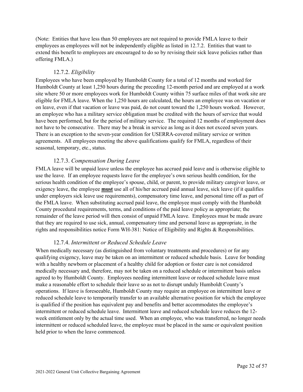(Note: Entities that have less than 50 employees are not required to provide FMLA leave to their employees as employees will not be independently eligible as listed in 12.7.2. Entities that want to extend this benefit to employees are encouraged to do so by revising their sick leave policies rather than offering FMLA.)

#### 12.7.2. *Eligibility*

<span id="page-32-0"></span>Employees who have been employed by Humboldt County for a total of 12 months and worked for Humboldt County at least 1,250 hours during the preceding 12-month period and are employed at a work site where 50 or more employees work for Humboldt County within 75 surface miles of that work site are eligible for FMLA leave. When the 1,250 hours are calculated, the hours an employee was on vacation or on leave, even if that vacation or leave was paid, do not count toward the 1,250 hours worked. However, an employee who has a military service obligation must be credited with the hours of service that would have been performed, but for the period of military service. The required 12 months of employment does not have to be consecutive. There may be a break in service as long as it does not exceed seven years. There is an exception to the seven-year condition for USERRA-covered military service or written agreements. All employees meeting the above qualifications qualify for FMLA, regardless of their seasonal, temporary, etc., status.

#### 12.7.3. *Compensation During Leave*

<span id="page-32-1"></span>FMLA leave will be unpaid leave unless the employee has accrued paid leave and is otherwise eligible to use the leave. If an employee requests leave for the employee's own serious health condition, for the serious health condition of the employee's spouse, child, or parent, to provide military caregiver leave, or exigency leave, the employee **must** use all of his/her accrued paid annual leave, sick leave (if it qualifies under employers sick leave use requirements), compensatory time leave, and personal time off as part of the FMLA leave. When substituting accrued paid leave, the employee must comply with the Humboldt County procedural requirements, terms, and conditions of the paid leave policy as appropriate; the remainder of the leave period will then consist of unpaid FMLA leave. Employees must be made aware that they are required to use sick, annual, compensatory time and personal leave as appropriate, in the rights and responsibilities notice Form WH-381: Notice of Eligibility and Rights & Responsibilities.

#### 12.7.4. *Intermittent or Reduced Schedule Leave*

<span id="page-32-2"></span>When medically necessary (as distinguished from voluntary treatments and procedures) or for any qualifying exigency, leave may be taken on an intermittent or reduced schedule basis. Leave for bonding with a healthy newborn or placement of a healthy child for adoption or foster care is not considered medically necessary and, therefore, may not be taken on a reduced schedule or intermittent basis unless agreed to by Humboldt County. Employees needing intermittent leave or reduced schedule leave must make a reasonable effort to schedule their leave so as not to disrupt unduly Humboldt County's operations. If leave is foreseeable, Humboldt County may require an employee on intermittent leave or reduced schedule leave to temporarily transfer to an available alternative position for which the employee is qualified if the position has equivalent pay and benefits and better accommodates the employee's intermittent or reduced schedule leave. Intermittent leave and reduced schedule leave reduces the 12 week entitlement only by the actual time used. When an employee, who was transferred, no longer needs intermittent or reduced scheduled leave, the employee must be placed in the same or equivalent position held prior to when the leave commenced.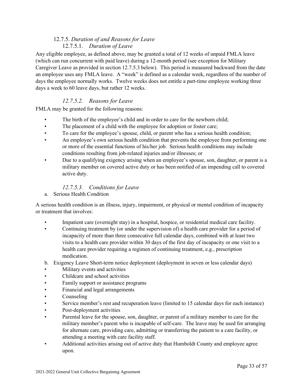### 12.7.5. *Duration of and Reasons for Leave* 12.7.5.1. *Duration of Leave*

<span id="page-33-1"></span><span id="page-33-0"></span>Any eligible employee, as defined above, may be granted a total of 12 weeks of unpaid FMLA leave (which can run concurrent with paid leave) during a 12-month period (see exception for Military Caregiver Leave as provided in section 12.7.5.3 below). This period is measured backward from the date an employee uses any FMLA leave. A "week" is defined as a calendar week, regardless of the number of days the employee normally works. Twelve weeks does not entitle a part-time employee working three days a week to 60 leave days, but rather 12 weeks.

#### *12.7.5.2. Reasons for Leave*

<span id="page-33-2"></span>FMLA may be granted for the following reasons:

- The birth of the employee's child and in order to care for the newborn child;
- The placement of a child with the employee for adoption or foster care;
- To care for the employee's spouse, child, or parent who has a serious health condition;
- An employee's own serious health condition that prevents the employee from performing one or more of the essential functions of his/her job. Serious health conditions may include conditions resulting from job-related injuries and/or illnesses; or
- Due to a qualifying exigency arising when an employee's spouse, son, daughter, or parent is a military member on covered active duty or has been notified of an impending call to covered active duty.

#### *12.7.5.3. Conditions for Leave*

<span id="page-33-3"></span>a. Serious Health Condition

A serious health condition is an illness, injury, impairment, or physical or mental condition of incapacity or treatment that involves:

- Impatient care (overnight stay) in a hospital, hospice, or residential medical care facility.
- Continuing treatment by (or under the supervision of) a health care provider for a period of incapacity of more than three consecutive full calendar days, combined with at least two visits to a health care provider within 30 days of the first day of incapacity or one visit to a health care provider requiring a regimen of continuing treatment, e.g., prescription medication.
- b. Exigency Leave Short-term notice deployment (deployment in seven or less calendar days)
- Military events and activities
- Childcare and school activities
- Family support or assistance programs
- Financial and legal arrangements
- Counseling
- Service member's rest and recuperation leave (limited to 15 calendar days for each instance)
- Post-deployment activities
- Parental leave for the spouse, son, daughter, or parent of a military member to care for the military member's parent who is incapable of self-care. The leave may be used for arranging for alternate care, providing care, admitting or transferring the patient to a care facility, or attending a meeting with care facility staff.
- Additional activities arising out of active duty that Humboldt County and employee agree upon.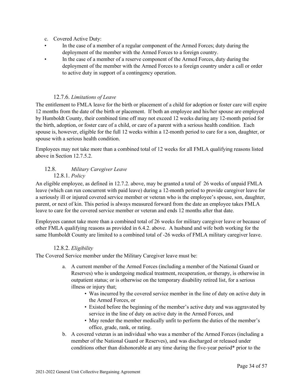- c. Covered Active Duty:
- In the case of a member of a regular component of the Armed Forces; duty during the deployment of the member with the Armed Forces to a foreign country.
- In the case of a member of a reserve component of the Armed Forces, duty during the deployment of the member with the Armed Forces to a foreign country under a call or order to active duty in support of a contingency operation.

#### 12.7.6. *Limitations of Leave*

<span id="page-34-0"></span>The entitlement to FMLA leave for the birth or placement of a child for adoption or foster care will expire 12 months from the date of the birth or placement. If both an employee and his/her spouse are employed by Humboldt County, their combined time off may not exceed 12 weeks during any 12-month period for the birth, adoption, or foster care of a child, or care of a parent with a serious health condition. Each spouse is, however, eligible for the full 12 weeks within a 12-month period to care for a son, daughter, or spouse with a serious health condition.

Employees may not take more than a combined total of 12 weeks for all FMLA qualifying reasons listed above in Section 12.7.5.2.

#### <span id="page-34-1"></span>12.8. *Military Caregiver Leave* 12.8.1. *Policy*

<span id="page-34-2"></span>An eligible employee, as defined in 12.7.2. above, may be granted a total of 26 weeks of unpaid FMLA leave (which can run concurrent with paid leave) during a 12-month period to provide caregiver leave for a seriously ill or injured covered service member or veteran who is the employee's spouse, son, daughter, parent, or next of kin. This period is always measured forward from the date an employee takes FMLA leave to care for the covered service member or veteran and ends 12 months after that date.

Employees cannot take more than a combined total of 26 weeks for military caregiver leave or because of other FMLA qualifying reasons as provided in 6.4.2. above. A husband and wife both working for the same Humboldt County are limited to a combined total of -26 weeks of FMLA military caregiver leave.

#### 12.8.2. *Eligibility*

<span id="page-34-3"></span>The Covered Service member under the Military Caregiver leave must be:

- a. A current member of the Armed Forces (including a member of the National Guard or Reserves) who is undergoing medical treatment, recuperation, or therapy, is otherwise in outpatient status; or is otherwise on the temporary disability retired list, for a serious illness or injury that;
	- Was incurred by the covered service member in the line of duty on active duty in the Armed Forces, or
	- Existed before the beginning of the member's active duty and was aggravated by service in the line of duty on active duty in the Armed Forces, and
	- May render the member medically unfit to perform the duties of the member's office, grade, rank, or rating.
- b. A covered veteran is an individual who was a member of the Armed Forces (including a member of the National Guard or Reserves), and was discharged or released under conditions other than dishonorable at any time during the five-year period\* prior to the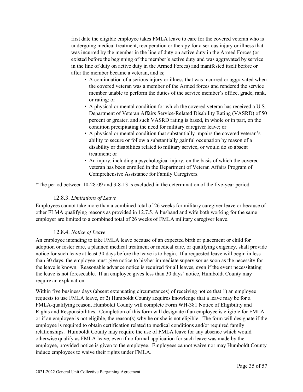first date the eligible employee takes FMLA leave to care for the covered veteran who is undergoing medical treatment, recuperation or therapy for a serious injury or illness that was incurred by the member in the line of duty on active duty in the Armed Forces (or existed before the beginning of the member's active duty and was aggravated by service in the line of duty on active duty in the Armed Forces) and manifested itself before or after the member became a veteran, and is;

- A continuation of a serious injury or illness that was incurred or aggravated when the covered veteran was a member of the Armed forces and rendered the service member unable to perform the duties of the service member's office, grade, rank, or rating; or
- A physical or mental condition for which the covered veteran has received a U.S. Department of Veteran Affairs Service-Related Disability Rating (VASRD) of 50 percent or greater, and such VASRD rating is based, in whole or in part, on the condition precipitating the need for military caregiver leave; or
- A physical or mental condition that substantially impairs the covered veteran's ability to secure or follow a substantially gainful occupation by reason of a disability or disabilities related to military service, or would do so absent treatment; or
- An injury, including a psychological injury, on the basis of which the covered veteran has been enrolled in the Department of Veteran Affairs Program of Comprehensive Assistance for Family Caregivers.

<span id="page-35-0"></span>\*The period between 10-28-09 and 3-8-13 is excluded in the determination of the five-year period.

#### 12.8.3. *Limitations of Leave*

Employees cannot take more than a combined total of 26 weeks for military caregiver leave or because of other FLMA qualifying reasons as provided in 12.7.5. A husband and wife both working for the same employer are limited to a combined total of 26 weeks of FMLA military caregiver leave.

#### 12.8.4. *Notice of Leave*

<span id="page-35-1"></span>An employee intending to take FMLA leave because of an expected birth or placement or child for adoption or foster care, a planned medical treatment or medical care, or qualifying exigency, shall provide notice for such leave at least 30 days before the leave is to begin. If a requested leave will begin in less than 30 days, the employee must give notice to his/her immediate supervisor as soon as the necessity for the leave is known. Reasonable advance notice is required for all leaves, even if the event necessitating the leave is not foreseeable. If an employee gives less than 30 days' notice, Humboldt County may require an explanation.

Within five business days (absent extenuating circumstances) of receiving notice that 1) an employee requests to use FMLA leave, or 2) Humboldt County acquires knowledge that a leave may be for a FMLA-qualifying reason, Humboldt County will complete Form WH-381 Notice of Eligibility and Rights and Responsibilities. Completion of this form will designate if an employee is eligible for FMLA or if an employee is not eligible, the reason(s) why he or she is not eligible. The form will designate if the employee is required to obtain certification related to medical conditions and/or required family relationships. Humboldt County may require the use of FMLA leave for any absence which would otherwise qualify as FMLA leave, even if no formal application for such leave was made by the employee, provided notice is given to the employee. Employees cannot waive nor may Humboldt County induce employees to waive their rights under FMLA.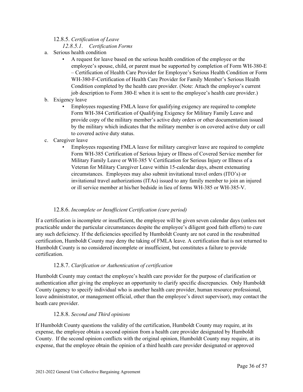#### 12.8.5. *Certification of Leave*

#### *12.8.5.1. Certification Forms*

- <span id="page-36-1"></span><span id="page-36-0"></span>a. Serious health condition
	- A request for leave based on the serious health condition of the employee or the employee's spouse, child, or parent must be supported by completion of Form WH-380-E – Certification of Health Care Provider for Employee's Serious Health Condition or Form WH-380-F-Certification of Health Care Provider for Family Member's Serious Health Condition completed by the health care provider. (Note: Attach the employee's current job description to Form 380-E when it is sent to the employee's health care provider.)
- b. Exigency leave
	- Employees requesting FMLA leave for qualifying exigency are required to complete Form WH-384 Certification of Qualifying Exigency for Military Family Leave and provide copy of the military member's active duty orders or other documentation issued by the military which indicates that the military member is on covered active duty or call to covered active duty status.
- c. Caregiver leave
	- Employees requesting FMLA leave for military caregiver leave are required to complete Form WH-385 Certification of Serious Injury or Illness of Covered Service member for Military Family Leave or WH-385 V Certification for Serious Injury or Illness of a Veteran for Military Caregiver Leave within 15-calendar days, absent extenuating circumstances. Employees may also submit invitational travel orders (ITO's) or invitational travel authorizations (ITAs) issued to any family member to join an injured or ill service member at his/her bedside in lieu of forms WH-385 or WH-385-V.

#### 12.8.6. *Incomplete or Insufficient Certification (cure period)*

If a certification is incomplete or insufficient, the employee will be given seven calendar days (unless not practicable under the particular circumstances despite the employee's diligent good faith efforts) to cure any such deficiency. If the deficiencies specified by Humboldt County are not cured in the resubmitted certification, Humboldt County may deny the taking of FMLA leave. A certification that is not returned to Humboldt County is no considered incomplete or insufficient, but constitutes a failure to provide certification.

#### 12.8.7. *Clarification or Authentication of certification*

Humboldt County may contact the employee's health care provider for the purpose of clarification or authentication after giving the employee an opportunity to clarify specific discrepancies. Only Humboldt County (agency to specify individual who is another health care provider, human resource professional, leave administrator, or management official, other than the employee's direct supervisor), may contact the heath care provider.

#### 12.8.8. *Second and Third opinions*

If Humboldt County questions the validity of the certification, Humboldt County may require, at its expense, the employee obtain a second opinion from a health care provider designated by Humboldt County. If the second opinion conflicts with the original opinion, Humboldt County may require, at its expense, that the employee obtain the opinion of a third health care provider designated or approved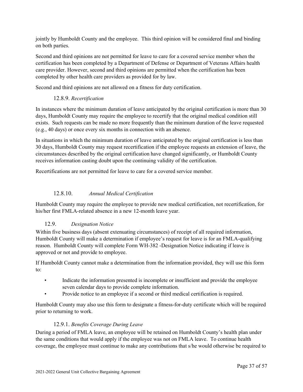jointly by Humboldt County and the employee. This third opinion will be considered final and binding on both parties.

Second and third opinions are not permitted for leave to care for a covered service member when the certification has been completed by a Department of Defense or Department of Veterans Affairs health care provider. However, second and third opinions are permitted when the certification has been completed by other health care providers as provided for by law.

Second and third opinions are not allowed on a fitness for duty certification.

#### 12.8.9. *Recertification*

In instances where the minimum duration of leave anticipated by the original certification is more than 30 days, Humboldt County may require the employee to recertify that the original medical condition still exists. Such requests can be made no more frequently than the minimum duration of the leave requested (e.g., 40 days) or once every six months in connection with an absence.

In situations in which the minimum duration of leave anticipated by the original certification is less than 30 days, Humboldt County may request recertification if the employee requests an extension of leave, the circumstances described by the original certification have changed significantly, or Humboldt County receives information casting doubt upon the continuing validity of the certification.

Recertifications are not permitted for leave to care for a covered service member.

#### 12.8.10. *Annual Medical Certification*

Humboldt County may require the employee to provide new medical certification, not recertification, for his/her first FMLA-related absence in a new 12-month leave year.

#### <span id="page-37-0"></span>12.9. *Designation Notice*

Within five business days (absent extenuating circumstances) of receipt of all required information, Humboldt County will make a determination if employee's request for leave is for an FMLA-qualifying reason. Humboldt County will complete Form WH-382 -Designation Notice indicating if leave is approved or not and provide to employee.

If Humboldt County cannot make a determination from the information provided, they will use this form to:

- Indicate the information presented is incomplete or insufficient and provide the employee seven calendar days to provide complete information.
- Provide notice to an employee if a second or third medical certification is required.

Humboldt County may also use this form to designate a fitness-for-duty certificate which will be required prior to returning to work.

#### 12.9.1. *Benefits Coverage During Leave*

<span id="page-37-1"></span>During a period of FMLA leave, an employee will be retained on Humboldt County's health plan under the same conditions that would apply if the employee was not on FMLA leave. To continue health coverage, the employee must continue to make any contributions that s/he would otherwise be required to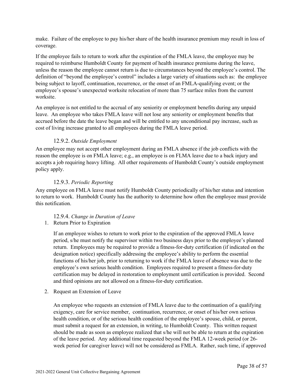make. Failure of the employee to pay his/her share of the health insurance premium may result in loss of coverage.

If the employee fails to return to work after the expiration of the FMLA leave, the employee may be required to reimburse Humboldt County for payment of health insurance premiums during the leave, unless the reason the employee cannot return is due to circumstances beyond the employee's control. The definition of "beyond the employee's control" includes a large variety of situations such as: the employee being subject to layoff, continuation, recurrence, or the onset of an FMLA-qualifying event; or the employee's spouse's unexpected worksite relocation of more than 75 surface miles from the current worksite.

An employee is not entitled to the accrual of any seniority or employment benefits during any unpaid leave. An employee who takes FMLA leave will not lose any seniority or employment benefits that accrued before the date the leave began and will be entitled to any unconditional pay increase, such as cost of living increase granted to all employees during the FMLA leave period.

#### 12.9.2. *Outside Employment*

<span id="page-38-0"></span>An employee may not accept other employment during an FMLA absence if the job conflicts with the reason the employee is on FMLA leave; e.g., an employee is on FLMA leave due to a back injury and accepts a job requiring heavy lifting. All other requirements of Humboldt County's outside employment policy apply.

#### 12.9.3. *Periodic Reporting*

<span id="page-38-1"></span>Any employee on FMLA leave must notify Humboldt County periodically of his/her status and intention to return to work. Humboldt County has the authority to determine how often the employee must provide this notification.

#### 12.9.4. *Change in Duration of Leave*

<span id="page-38-2"></span>1. Return Prior to Expiration

If an employee wishes to return to work prior to the expiration of the approved FMLA leave period, s/he must notify the supervisor within two business days prior to the employee's planned return. Employees may be required to provide a fitness-for-duty certification (if indicated on the designation notice) specifically addressing the employee's ability to perform the essential functions of his/her job, prior to returning to work if the FMLA leave of absence was due to the employee's own serious health condition. Employees required to present a fitness-for-duty certification may be delayed in restoration to employment until certification is provided. Second and third opinions are not allowed on a fitness-for-duty certification.

2. Request an Extension of Leave

An employee who requests an extension of FMLA leave due to the continuation of a qualifying exigency, care for service member, continuation, recurrence, or onset of his/her own serious health condition, or of the serious health condition of the employee's spouse, child, or parent, must submit a request for an extension, in writing, to Humboldt County. This written request should be made as soon as employee realized that s/he will not be able to return at the expiration of the leave period. Any additional time requested beyond the FMLA 12-week period (or 26 week period for caregiver leave) will not be considered as FMLA. Rather, such time, if approved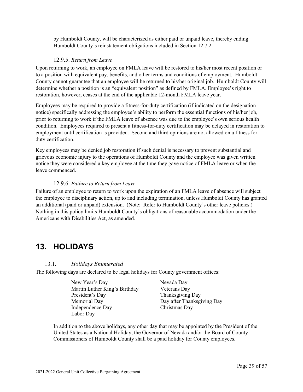by Humboldt County, will be characterized as either paid or unpaid leave, thereby ending Humboldt County's reinstatement obligations included in Section 12.7.2.

#### 12.9.5. *Return from Leave*

<span id="page-39-0"></span>Upon returning to work, an employee on FMLA leave will be restored to his/her most recent position or to a position with equivalent pay, benefits, and other terms and conditions of employment. Humboldt County cannot guarantee that an employee will be returned to his/her original job. Humboldt County will determine whether a position is an "equivalent position" as defined by FMLA. Employee's right to restoration, however, ceases at the end of the applicable 12-month FMLA leave year.

Employees may be required to provide a fitness-for-duty certification (if indicated on the designation notice) specifically addressing the employee's ability to perform the essential functions of his/her job, prior to returning to work if the FMLA leave of absence was due to the employee's own serious health condition. Employees required to present a fitness-for-duty certification may be delayed in restoration to employment until certification is provided. Second and third opinions are not allowed on a fitness for duty certification.

Key employees may be denied job restoration if such denial is necessary to prevent substantial and grievous economic injury to the operations of Humboldt County and the employee was given written notice they were considered a key employee at the time they gave notice of FMLA leave or when the leave commenced.

#### 12.9.6. *Failure to Return from Leave*

<span id="page-39-1"></span>Failure of an employee to return to work upon the expiration of an FMLA leave of absence will subject the employee to disciplinary action, up to and including termination, unless Humboldt County has granted an additional (paid or unpaid) extension. (Note: Refer to Humboldt County's other leave policies.) Nothing in this policy limits Humboldt County's obligations of reasonable accommodation under the Americans with Disabilities Act, as amended.

## <span id="page-39-2"></span>**13. HOLIDAYS**

#### 13.1. *Holidays Enumerated*

<span id="page-39-3"></span>The following days are declared to be legal holidays for County government offices:

New Year's Day Nevada Day Martin Luther King's Birthday Veterans Day President's Day Thanksgiving Day Memorial Day **Day after Thanksgiving Day** Independence Day Christmas Day Labor Day

In addition to the above holidays, any other day that may be appointed by the President of the United States as a National Holiday, the Governor of Nevada and/or the Board of County Commissioners of Humboldt County shall be a paid holiday for County employees.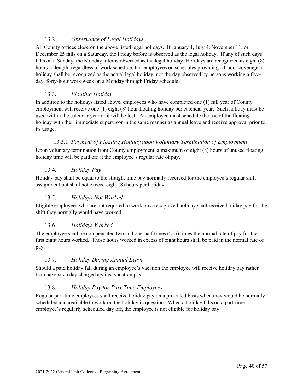#### 13.2. *Observance of Legal Holidays*

<span id="page-40-0"></span>All County offices close on the above listed legal holidays. If January 1, July 4, November 11, or December 25 falls on a Saturday, the Friday before is observed as the legal holiday. If any of such days falls on a Sunday, the Monday after is observed as the legal holiday. Holidays are recognized as eight (8) hours in length, regardless of work schedule. For employees on schedules providing 24-hour coverage, a holiday shall be recognized as the actual legal holiday, not the day observed by persons working a fiveday, forty-hour work week on a Monday through Friday schedule.

#### <span id="page-40-1"></span>13.3. *Floating Holiday*

In addition to the holidays listed above, employees who have completed one (1) full year of County employment will receive one (1) eight (8) hour floating holiday per calendar year. Such holiday must be used within the calendar year or it will be lost. An employee must schedule the use of the floating holiday with their immediate supervisor in the same manner as annual leave and receive approval prior to its usage.

#### 13.3.1. *Payment of Floating Holiday upon Voluntary Termination of Employment*

<span id="page-40-2"></span>Upon voluntary termination from County employment, a maximum of eight (8) hours of unused floating holiday time will be paid off at the employee's regular rate of pay.

#### <span id="page-40-3"></span>13.4. *Holiday Pay*

Holiday pay shall be equal to the straight time pay normally received for the employee's regular shift assignment but shall not exceed eight (8) hours per holiday.

#### <span id="page-40-4"></span>13.5. *Holidays Not Worked*

Eligible employees who are not required to work on a recognized holiday shall receive holiday pay for the shift they normally would have worked.

#### <span id="page-40-5"></span>13.6. *Holidays Worked*

The employee shall be compensated two and one-half times  $(2 \frac{1}{2})$  times the normal rate of pay for the first eight hours worked. Those hours worked in excess of eight hours shall be paid in the normal rate of pay.

#### <span id="page-40-6"></span>13.7. *Holiday During Annual Leave*

Should a paid holiday fall during an employee's vacation the employee will receive holiday pay rather than have such day charged against vacation pay.

#### <span id="page-40-7"></span>13.8. *Holiday Pay for Part-Time Employees*

Regular part-time employees shall receive holiday pay on a pro-rated basis when they would be normally scheduled and available to work on the holiday in question. When a holiday falls on a part-time employee's regularly scheduled day off, the employee is not eligible for holiday pay.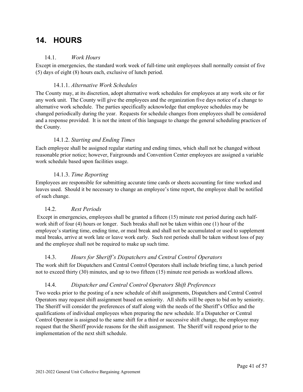## <span id="page-41-0"></span>**14. HOURS**

#### 14.1. *Work Hours*

<span id="page-41-1"></span>Except in emergencies, the standard work week of full-time unit employees shall normally consist of five (5) days of eight (8) hours each, exclusive of lunch period.

#### 14.1.1. *Alternative Work Schedules*

<span id="page-41-2"></span>The County may, at its discretion, adopt alternative work schedules for employees at any work site or for any work unit. The County will give the employees and the organization five days notice of a change to alternative work schedule. The parties specifically acknowledge that employee schedules may be changed periodically during the year. Requests for schedule changes from employees shall be considered and a response provided. It is not the intent of this language to change the general scheduling practices of the County.

#### 14.1.2. *Starting and Ending Times*

<span id="page-41-3"></span>Each employee shall be assigned regular starting and ending times, which shall not be changed without reasonable prior notice; however, Fairgrounds and Convention Center employees are assigned a variable work schedule based upon facilities usage.

#### 14.1.3. *Time Reporting*

<span id="page-41-4"></span>Employees are responsible for submitting accurate time cards or sheets accounting for time worked and leaves used. Should it be necessary to change an employee's time report, the employee shall be notified of such change.

#### <span id="page-41-5"></span>14.2. *Rest Periods*

Except in emergencies, employees shall be granted a fifteen (15) minute rest period during each halfwork shift of four (4) hours or longer. Such breaks shall not be taken within one (1) hour of the employee's starting time, ending time, or meal break and shall not be accumulated or used to supplement meal breaks, arrive at work late or leave work early. Such rest periods shall be taken without loss of pay and the employee shall not be required to make up such time.

### <span id="page-41-6"></span>14.3. *Hours for Sheriff's Dispatchers and Central Control Operators*

The work shift for Dispatchers and Central Control Operators shall include briefing time, a lunch period not to exceed thirty (30) minutes, and up to two fifteen (15) minute rest periods as workload allows.

#### <span id="page-41-7"></span>14.4. *Dispatcher and Central Control Operators Shift Preferences*

Two weeks prior to the posting of a new schedule of shift assignments, Dispatchers and Central Control Operators may request shift assignment based on seniority. All shifts will be open to bid on by seniority. The Sheriff will consider the preferences of staff along with the needs of the Sheriff's Office and the qualifications of individual employees when preparing the new schedule. If a Dispatcher or Central Control Operator is assigned to the same shift for a third or successive shift change, the employee may request that the Sheriff provide reasons for the shift assignment. The Sheriff will respond prior to the implementation of the next shift schedule.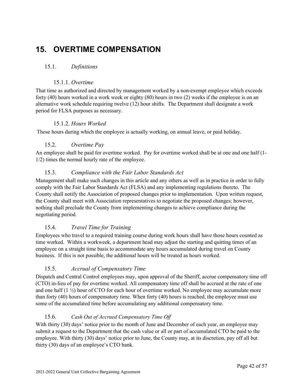## <span id="page-42-0"></span>**15. OVERTIME COMPENSATION**

### <span id="page-42-1"></span>15.1. *Definitions*

#### 15.1.1. *Overtime*

<span id="page-42-2"></span>That time as authorized and directed by management worked by a non-exempt employee which exceeds forty (40) hours worked in a work week or eighty (80) hours in two (2) weeks if the employee is on an alternative work schedule requiring twelve (12) hour shifts. The Department shall designate a work period for FLSA purposes as necessary.

#### 15.1.2. *Hours Worked*

<span id="page-42-4"></span><span id="page-42-3"></span>Those hours during which the employee is actually working, on annual leave, or paid holiday.

#### 15.2. *Overtime Pay*

An employee shall be paid for overtime worked. Pay for overtime worked shall be at one and one half (1- 1/2) times the normal hourly rate of the employee.

#### <span id="page-42-5"></span>15.3. *Compliance with the Fair Labor Standards Act*

Management shall make such changes in this article and any others as well as in practice in order to fully comply with the Fair Labor Standards Act (FLSA) and any implementing regulations thereto. The County shall notify the Association of proposed changes prior to implementation. Upon written request, the County shall meet with Association representatives to negotiate the proposed changes; however, nothing shall preclude the County from implementing changes to achieve compliance during the negotiating period.

### <span id="page-42-6"></span>15.4. *Travel Time for Training*

Employees who travel to a required training course during work hours shall have those hours counted as time worked. Within a workweek, a department head may adjust the starting and quitting times of an employee on a straight time basis to accommodate any hours accumulated during travel on County business. If this is not possible, the additional hours will be treated as hours worked.

#### <span id="page-42-7"></span>15.5. *Accrual of Compensatory Time*

Dispatch and Central Control employees may, upon approval of the Sheriff, accrue compensatory time off (CTO) in-lieu of pay for overtime worked. All compensatory time off shall be accrued at the rate of one and one half  $(1 \frac{1}{2})$  hour of CTO for each hour of overtime worked. No employee may accumulate more than forty (40) hours of compensatory time. When forty (40) hours is reached, the employee must use some of the accumulated time before accumulating any additional compensatory time.

#### <span id="page-42-8"></span>15.6. *Cash Out of Accrued Compensatory Time Off*

With thirty (30) days' notice prior to the month of June and December of each year, an employee may submit a request to the Department that the cash value or all or part of accumulated CTO be paid to the employee. With thirty (30) days' notice prior to June, the County may, at its discretion, pay off all but thirty (30) days of an employee's CTO bank.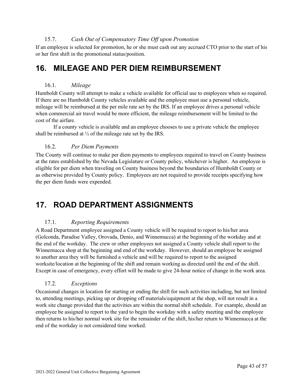#### 15.7. *Cash Out of Compensatory Time Off upon Promotion*

<span id="page-43-0"></span>If an employee is selected for promotion, he or she must cash out any accrued CTO prior to the start of his or her first shift in the promotional status/position.

## <span id="page-43-1"></span>**16. MILEAGE AND PER DIEM REIMBURSEMENT**

#### 16.1. *Mileage*

<span id="page-43-2"></span>Humboldt County will attempt to make a vehicle available for official use to employees when so required. If there are no Humboldt County vehicles available and the employee must use a personal vehicle, mileage will be reimbursed at the per mile rate set by the IRS. If an employee drives a personal vehicle when commercial air travel would be more efficient, the mileage reimbursement will be limited to the cost of the airfare.

If a county vehicle is available and an employee chooses to use a private vehicle the employee shall be reimbursed at ½ of the mileage rate set by the IRS.

#### <span id="page-43-3"></span>16.2. *Per Diem Payments*

The County will continue to make per diem payments to employees required to travel on County business at the rates established by the Nevada Legislature or County policy, whichever is higher. An employee is eligible for per diem when traveling on County business beyond the boundaries of Humboldt County or as otherwise provided by County policy. Employees are not required to provide receipts specifying how the per diem funds were expended.

## <span id="page-43-4"></span>**17. ROAD DEPARTMENT ASSIGNMENTS**

#### 17.1. *Reporting Requirements*

<span id="page-43-5"></span>A Road Department employee assigned a County vehicle will be required to report to his/her area (Golconda, Paradise Valley, Orovada, Denio, and Winnemucca) at the beginning of the workday and at the end of the workday. The crew or other employees not assigned a County vehicle shall report to the Winnemucca shop at the beginning and end of the workday. However, should an employee be assigned to another area they will be furnished a vehicle and will be required to report to the assigned worksite/location at the beginning of the shift and remain working as directed until the end of the shift. Except in case of emergency, every effort will be made to give 24-hour notice of change in the work area.

#### <span id="page-43-6"></span>17.2. *Exceptions*

Occasional changes in location for starting or ending the shift for such activities including, but not limited to, attending meetings, picking up or dropping off materials/equipment at the shop, will not result in a work site change provided that the activities are within the normal shift schedule. For example, should an employee be assigned to report to the yard to begin the workday with a safety meeting and the employee then returns to his/her normal work site for the remainder of the shift, his/her return to Winnemucca at the end of the workday is not considered time worked.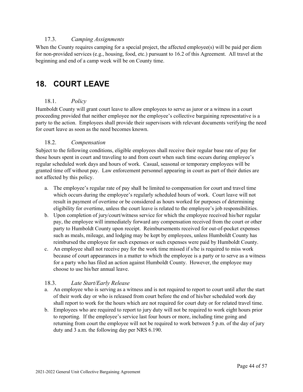#### 17.3. *Camping Assignments*

<span id="page-44-0"></span>When the County requires camping for a special project, the affected employee(s) will be paid per diem for non-provided services (e.g., housing, food, etc.) pursuant to 16.2 of this Agreement. All travel at the beginning and end of a camp week will be on County time.

## <span id="page-44-1"></span>**18. COURT LEAVE**

#### 18.1. *Policy*

<span id="page-44-2"></span>Humboldt County will grant court leave to allow employees to serve as juror or a witness in a court proceeding provided that neither employee nor the employee's collective bargaining representative is a party to the action. Employees shall provide their supervisors with relevant documents verifying the need for court leave as soon as the need becomes known.

#### <span id="page-44-3"></span>18.2. *Compensation*

Subject to the following conditions, eligible employees shall receive their regular base rate of pay for those hours spent in court and traveling to and from court when such time occurs during employee's regular scheduled work days and hours of work. Casual, seasonal or temporary employees will be granted time off without pay. Law enforcement personnel appearing in court as part of their duties are not affected by this policy.

- a. The employee's regular rate of pay shall be limited to compensation for court and travel time which occurs during the employee's regularly scheduled hours of work. Court leave will not result in payment of overtime or be considered as hours worked for purposes of determining eligibility for overtime, unless the court leave is related to the employee's job responsibilities.
- b. Upon completion of jury/court/witness service for which the employee received his/her regular pay, the employee will immediately forward any compensation received from the court or other party to Humboldt County upon receipt. Reimbursements received for out-of-pocket expenses such as meals, mileage, and lodging may be kept by employees, unless Humboldt County has reimbursed the employee for such expenses or such expenses were paid by Humboldt County.
- c. An employee shall not receive pay for the work time missed if s/he is required to miss work because of court appearances in a matter to which the employee is a party or to serve as a witness for a party who has filed an action against Humboldt County. However, the employee may choose to use his/her annual leave.

#### <span id="page-44-4"></span>18.3. *Late Start/Early Release*

- a. An employee who is serving as a witness and is not required to report to court until after the start of their work day or who is released from court before the end of his/her scheduled work day shall report to work for the hours which are not required for court duty or for related travel time.
- b. Employees who are required to report to jury duty will not be required to work eight hours prior to reporting. If the employee's service last four hours or more, including time going and returning from court the employee will not be required to work between 5 p.m. of the day of jury duty and 3 a.m. the following day per NRS 6.190.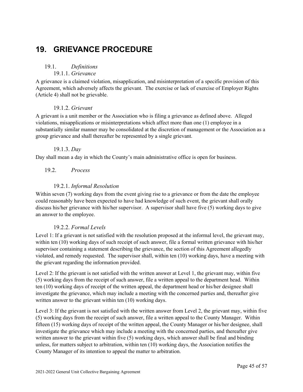## <span id="page-45-0"></span>**19. GRIEVANCE PROCEDURE**

### <span id="page-45-1"></span>19.1. *Definitions*

19.1.1. *Grievance* 

<span id="page-45-2"></span>A grievance is a claimed violation, misapplication, and misinterpretation of a specific provision of this Agreement, which adversely affects the grievant. The exercise or lack of exercise of Employer Rights (Article 4) shall not be grievable.

#### 19.1.2. *Grievant*

<span id="page-45-3"></span>A grievant is a unit member or the Association who is filing a grievance as defined above. Alleged violations, misapplications or misinterpretations which affect more than one (1) employee in a substantially similar manner may be consolidated at the discretion of management or the Association as a group grievance and shall thereafter be represented by a single grievant.

#### 19.1.3. *Day*

<span id="page-45-4"></span>Day shall mean a day in which the County's main administrative office is open for business.

### <span id="page-45-5"></span>19.2. *Process*

#### 19.2.1. *Informal Resolution*

<span id="page-45-6"></span>Within seven (7) working days from the event giving rise to a grievance or from the date the employee could reasonably have been expected to have had knowledge of such event, the grievant shall orally discuss his/her grievance with his/her supervisor. A supervisor shall have five (5) working days to give an answer to the employee.

#### 19.2.2. *Formal Levels*

<span id="page-45-7"></span>Level 1: If a grievant is not satisfied with the resolution proposed at the informal level, the grievant may, within ten (10) working days of such receipt of such answer, file a formal written grievance with his/her supervisor containing a statement describing the grievance, the section of this Agreement allegedly violated, and remedy requested. The supervisor shall, within ten (10) working days, have a meeting with the grievant regarding the information provided.

Level 2: If the grievant is not satisfied with the written answer at Level 1, the grievant may, within five (5) working days from the receipt of such answer, file a written appeal to the department head. Within ten (10) working days of receipt of the written appeal, the department head or his/her designee shall investigate the grievance, which may include a meeting with the concerned parties and, thereafter give written answer to the grievant within ten (10) working days.

Level 3: If the grievant is not satisfied with the written answer from Level 2, the grievant may, within five (5) working days from the receipt of such answer, file a written appeal to the County Manager. Within fifteen (15) working days of receipt of the written appeal, the County Manager or his/her designee, shall investigate the grievance which may include a meeting with the concerned parties, and thereafter give written answer to the grievant within five (5) working days, which answer shall be final and binding unless, for matters subject to arbitration, within ten (10) working days, the Association notifies the County Manager of its intention to appeal the matter to arbitration.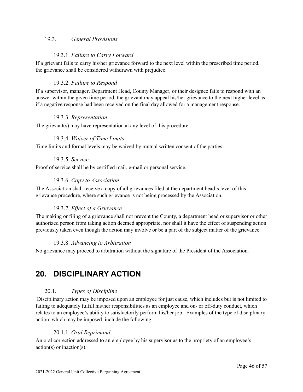#### <span id="page-46-0"></span>19.3. *General Provisions*

#### 19.3.1. *Failure to Carry Forward*

<span id="page-46-1"></span>If a grievant fails to carry his/her grievance forward to the next level within the prescribed time period, the grievance shall be considered withdrawn with prejudice.

#### 19.3.2. *Failure to Respond*

<span id="page-46-2"></span>If a supervisor, manager, Department Head, County Manager, or their designee fails to respond with an answer within the given time period, the grievant may appeal his/her grievance to the next higher level as if a negative response had been received on the final day allowed for a management response.

#### 19.3.3. *Representation*

<span id="page-46-4"></span><span id="page-46-3"></span>The grievant(s) may have representation at any level of this procedure.

#### 19.3.4. *Waiver of Time Limits*

<span id="page-46-5"></span>Time limits and formal levels may be waived by mutual written consent of the parties.

#### 19.3.5. *Service*

<span id="page-46-6"></span>Proof of service shall be by certified mail, e-mail or personal service.

#### 19.3.6. *Copy to Association*

The Association shall receive a copy of all grievances filed at the department head's level of this grievance procedure, where such grievance is not being processed by the Association.

#### 19.3.7. *Effect of a Grievance*

<span id="page-46-7"></span>The making or filing of a grievance shall not prevent the County, a department head or supervisor or other authorized person from taking action deemed appropriate, nor shall it have the effect of suspending action previously taken even though the action may involve or be a part of the subject matter of the grievance.

#### 19.3.8. *Advancing to Arbitration*

<span id="page-46-8"></span>No grievance may proceed to arbitration without the signature of the President of the Association.

## <span id="page-46-9"></span>**20. DISCIPLINARY ACTION**

#### 20.1. *Types of Discipline*

<span id="page-46-10"></span>Disciplinary action may be imposed upon an employee for just cause, which includes but is not limited to failing to adequately fulfill his/her responsibilities as an employee and on- or off-duty conduct, which relates to an employee's ability to satisfactorily perform his/her job. Examples of the type of disciplinary action, which may be imposed, include the following:

#### 20.1.1. *Oral Reprimand*

<span id="page-46-11"></span>An oral correction addressed to an employee by his supervisor as to the propriety of an employee's action(s) or inaction(s).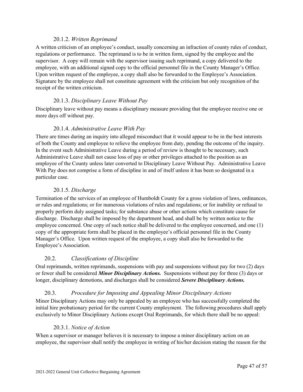#### 20.1.2. *Written Reprimand*

<span id="page-47-0"></span>A written criticism of an employee's conduct, usually concerning an infraction of county rules of conduct, regulations or performance. The reprimand is to be in written form, signed by the employee and the supervisor. A copy will remain with the supervisor issuing such reprimand, a copy delivered to the employee, with an additional signed copy to the official personnel file in the County Manager's Office. Upon written request of the employee, a copy shall also be forwarded to the Employee's Association. Signature by the employee shall not constitute agreement with the criticism but only recognition of the receipt of the written criticism.

#### 20.1.3. *Disciplinary Leave Without Pay*

<span id="page-47-1"></span>Disciplinary leave without pay means a disciplinary measure providing that the employee receive one or more days off without pay.

#### 20.1.4. *Administrative Leave With Pay*

<span id="page-47-2"></span>There are times during an inquiry into alleged misconduct that it would appear to be in the best interests of both the County and employee to relieve the employee from duty, pending the outcome of the inquiry. In the event such Administrative Leave during a period of review is thought to be necessary, such Administrative Leave shall not cause loss of pay or other privileges attached to the position as an employee of the County unless later converted to Disciplinary Leave Without Pay. Administrative Leave With Pay does not comprise a form of discipline in and of itself unless it has been so designated in a particular case.

#### 20.1.5. *Discharge*

<span id="page-47-3"></span>Termination of the services of an employee of Humboldt County for a gross violation of laws, ordinances, or rules and regulations; or for numerous violations of rules and regulations; or for inability or refusal to properly perform duly assigned tasks; for substance abuse or other actions which constitute cause for discharge. Discharge shall be imposed by the department head, and shall be by written notice to the employee concerned. One copy of such notice shall be delivered to the employee concerned, and one (1) copy of the appropriate form shall be placed in the employee's official personnel file in the County Manager's Office. Upon written request of the employee, a copy shall also be forwarded to the Employee's Association.

#### <span id="page-47-4"></span>20.2. *Classifications of Discipline*

Oral reprimands, written reprimands, suspensions with pay and suspensions without pay for two (2) days or fewer shall be considered *Minor Disciplinary Actions.* Suspensions without pay for three (3) days or longer, disciplinary demotions, and discharges shall be considered *Severe Disciplinary Actions.*

#### <span id="page-47-5"></span>20.3. *Procedure for Imposing and Appealing Minor Disciplinary Actions*

Minor Disciplinary Actions may only be appealed by an employee who has successfully completed the initial hire probationary period for the current County employment. The following procedures shall apply exclusively to Minor Disciplinary Actions except Oral Reprimands, for which there shall be no appeal:

#### 20.3.1. *Notice of Action*

<span id="page-47-6"></span>When a supervisor or manager believes it is necessary to impose a minor disciplinary action on an employee, the supervisor shall notify the employee in writing of his/her decision stating the reason for the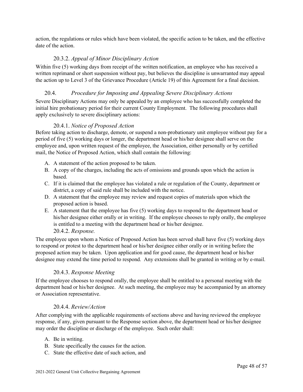action, the regulations or rules which have been violated, the specific action to be taken, and the effective date of the action.

#### 20.3.2. *Appeal of Minor Disciplinary Action*

<span id="page-48-0"></span>Within five (5) working days from receipt of the written notification, an employee who has received a written reprimand or short suspension without pay, but believes the discipline is unwarranted may appeal the action up to Level 3 of the Grievance Procedure (Article 19) of this Agreement for a final decision.

#### <span id="page-48-1"></span>20.4. *Procedure for Imposing and Appealing Severe Disciplinary Actions*

Severe Disciplinary Actions may only be appealed by an employee who has successfully completed the initial hire probationary period for their current County Employment. The following procedures shall apply exclusively to severe disciplinary actions:

#### 20.4.1. *Notice of Proposed Action*

<span id="page-48-2"></span>Before taking action to discharge, demote, or suspend a non-probationary unit employee without pay for a period of five (5) working days or longer, the department head or his/her designee shall serve on the employee and, upon written request of the employee, the Association, either personally or by certified mail, the Notice of Proposed Action, which shall contain the following:

- A. A statement of the action proposed to be taken.
- B. A copy of the charges, including the acts of omissions and grounds upon which the action is based.
- C. If it is claimed that the employee has violated a rule or regulation of the County, department or district, a copy of said rule shall be included with the notice.
- D. A statement that the employee may review and request copies of materials upon which the proposed action is based.
- E. A statement that the employee has five (5) working days to respond to the department head or his/her designee either orally or in writing. If the employee chooses to reply orally, the employee is entitled to a meeting with the department head or his/her designee.

#### 20.4.2. *Response.*

<span id="page-48-3"></span>The employee upon whom a Notice of Proposed Action has been served shall have five (5) working days to respond or protest to the department head or his/her designee either orally or in writing before the proposed action may be taken. Upon application and for good cause, the department head or his/her designee may extend the time period to respond. Any extensions shall be granted in writing or by e-mail.

#### 20.4.3. *Response Meeting*

<span id="page-48-4"></span>If the employee chooses to respond orally, the employee shall be entitled to a personal meeting with the department head or his/her designee. At such meeting, the employee may be accompanied by an attorney or Association representative.

#### 20.4.4. *Review/Action*

<span id="page-48-5"></span>After complying with the applicable requirements of sections above and having reviewed the employee response, if any, given pursuant to the Response section above, the department head or his/her designee may order the discipline or discharge of the employee. Such order shall:

- A. Be in writing.
- B. State specifically the causes for the action.
- C. State the effective date of such action, and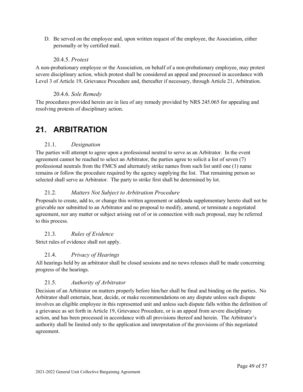D. Be served on the employee and, upon written request of the employee, the Association, either personally or by certified mail.

#### 20.4.5. *Protest*

<span id="page-49-0"></span>A non-probationary employee or the Association, on behalf of a non-probationary employee, may protest severe disciplinary action, which protest shall be considered an appeal and processed in accordance with Level 3 of Article 19, Grievance Procedure and, thereafter if necessary, through Article 21, Arbitration.

#### 20.4.6. *Sole Remedy*

<span id="page-49-1"></span>The procedures provided herein are in lieu of any remedy provided by NRS 245.065 for appealing and resolving protests of disciplinary action.

## <span id="page-49-2"></span>**21. ARBITRATION**

### 21.1. *Designation*

<span id="page-49-3"></span>The parties will attempt to agree upon a professional neutral to serve as an Arbitrator. In the event agreement cannot be reached to select an Arbitrator, the parties agree to solicit a list of seven (7) professional neutrals from the FMCS and alternately strike names from such list until one (1) name remains or follow the procedure required by the agency supplying the list. That remaining person so selected shall serve as Arbitrator. The party to strike first shall be determined by lot.

#### <span id="page-49-4"></span>21.2. *Matters Not Subject to Arbitration Procedure*

Proposals to create, add to, or change this written agreement or addenda supplementary hereto shall not be grievable nor submitted to an Arbitrator and no proposal to modify, amend, or terminate a negotiated agreement, nor any matter or subject arising out of or in connection with such proposal, may be referred to this process.

<span id="page-49-5"></span>21.3. *Rules of Evidence*

Strict rules of evidence shall not apply.

#### <span id="page-49-6"></span>21.4. *Privacy of Hearings*

All hearings held by an arbitrator shall be closed sessions and no news releases shall be made concerning progress of the hearings.

### <span id="page-49-7"></span>21.5. *Authority of Arbitrator*

Decision of an Arbitrator on matters properly before him/her shall be final and binding on the parties. No Arbitrator shall entertain, hear, decide, or make recommendations on any dispute unless such dispute involves an eligible employee in this represented unit and unless such dispute falls within the definition of a grievance as set forth in Article 19, Grievance Procedure, or is an appeal from severe disciplinary action, and has been processed in accordance with all provisions thereof and herein. The Arbitrator's authority shall be limited only to the application and interpretation of the provisions of this negotiated agreement.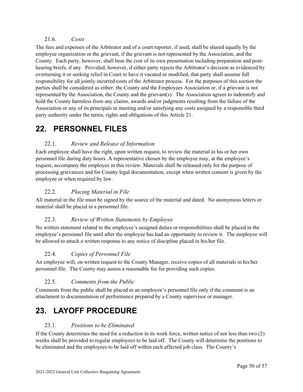#### 21.6. *Costs*

<span id="page-50-0"></span>The fees and expenses of the Arbitrator and of a court reporter, if used, shall be shared equally by the employee organization or the grievant, if the grievant is not represented by the Association, and the County. Each party, however, shall bear the cost of its own presentation including preparation and posthearing briefs, if any. Provided, however, if either party rejects the Arbitrator's decision as evidenced by overturning it or seeking relief in Court to have it vacated or modified, that party shall assume full responsibility for all jointly incurred costs of the Arbitrator process. For the purposes of this section the parties shall be considered as either: the County and the Employees Association or, if a grievant is not represented by the Association, the County and the grievant(s). The Association agrees to indemnify and hold the County harmless from any claims, awards and/or judgments resulting from the failure of the Association or any of its principals in meeting and/or satisfying any costs assigned by a responsible third party authority under the terms, rights and obligations of this Article 21.

## <span id="page-50-1"></span>**22. PERSONNEL FILES**

### 22.1. *Review and Release of Information*

<span id="page-50-2"></span>Each employee shall have the right, upon written request, to review the material in his or her own personnel file during duty hours. A representative chosen by the employee may, at the employee's request, accompany the employee in this review. Materials shall be released only for the purpose of processing grievances and for County legal documentation, except when written consent is given by the employee or when required by law.

### <span id="page-50-3"></span>22.2. *Placing Material in File*

All material in the file must be signed by the source of the material and dated. No anonymous letters or material shall be placed in a personnel file.

#### <span id="page-50-4"></span>22.3. *Review of Written Statements by Employee*

No written statement related to the employee's assigned duties or responsibilities shall be placed in the employee's personnel file until after the employee has had an opportunity to review it. The employee will be allowed to attach a written response to any notice of discipline placed in his/her file.

#### <span id="page-50-5"></span>22.4. *Copies of Personnel File*

An employee will, on written request to the County Manager, receive copies of all materials in his/her personnel file. The County may assess a reasonable fee for providing such copies.

#### <span id="page-50-6"></span>22.5. *Comments from the Public*

Comments from the public shall be placed in an employee's personnel file only if the comment is an attachment to documentation of performance prepared by a County supervisor or manager.

## <span id="page-50-7"></span>**23. LAYOFF PROCEDURE**

#### 23.1. *Positions to be Eliminated*

<span id="page-50-8"></span>If the County determines the need for a reduction in its work force, written notice of not less than two (2) weeks shall be provided to regular employees to be laid off. The County will determine the positions to be eliminated and the employees to be laid off within each affected job class. The County's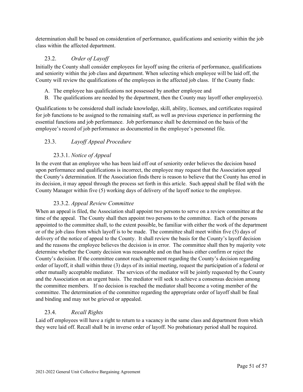determination shall be based on consideration of performance, qualifications and seniority within the job class within the affected department.

#### <span id="page-51-0"></span>23.2. *Order of Layoff*

Initially the County shall consider employees for layoff using the criteria of performance, qualifications and seniority within the job class and department. When selecting which employee will be laid off, the County will review the qualifications of the employees in the affected job class. If the County finds:

- A. The employee has qualifications not possessed by another employee and
- B. The qualifications are needed by the department, then the County may layoff other employee(s).

Qualifications to be considered shall include knowledge, skill, ability, licenses, and certificates required for job functions to be assigned to the remaining staff, as well as previous experience in performing the essential functions and job performance. Job performance shall be determined on the basis of the employee's record of job performance as documented in the employee's personnel file.

#### <span id="page-51-1"></span>23.3. *Layoff Appeal Procedure*

#### 23.3.1. *Notice of Appeal*

<span id="page-51-2"></span>In the event that an employee who has been laid off out of seniority order believes the decision based upon performance and qualifications is incorrect, the employee may request that the Association appeal the County's determination. If the Association finds there is reason to believe that the County has erred in its decision, it may appeal through the process set forth in this article. Such appeal shall be filed with the County Manager within five (5) working days of delivery of the layoff notice to the employee.

#### 23.3.2. *Appeal Review Committee*

<span id="page-51-3"></span>When an appeal is filed, the Association shall appoint two persons to serve on a review committee at the time of the appeal. The County shall then appoint two persons to the committee. Each of the persons appointed to the committee shall, to the extent possible, be familiar with either the work of the department or of the job class from which layoff is to be made. The committee shall meet within five (5) days of delivery of the notice of appeal to the County. It shall review the basis for the County's layoff decision and the reasons the employee believes the decision is in error. The committee shall then by majority vote determine whether the County decision was reasonable and on that basis either confirm or reject the County's decision. If the committee cannot reach agreement regarding the County's decision regarding order of layoff, it shall within three (3) days of its initial meeting, request the participation of a federal or other mutually acceptable mediator. The services of the mediator will be jointly requested by the County and the Association on an urgent basis. The mediator will seek to achieve a consensus decision among the committee members. If no decision is reached the mediator shall become a voting member of the committee. The determination of the committee regarding the appropriate order of layoff shall be final and binding and may not be grieved or appealed.

#### <span id="page-51-4"></span>23.4. *Recall Rights*

Laid off employees will have a right to return to a vacancy in the same class and department from which they were laid off. Recall shall be in inverse order of layoff. No probationary period shall be required.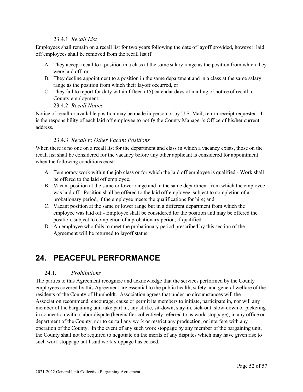#### 23.4.1. *Recall List*

<span id="page-52-0"></span>Employees shall remain on a recall list for two years following the date of layoff provided, however, laid off employees shall be removed from the recall list if:

- A. They accept recall to a position in a class at the same salary range as the position from which they were laid off, or
- B. They decline appointment to a position in the same department and in a class at the same salary range as the position from which their layoff occurred, or
- C. They fail to report for duty within fifteen (15) calendar days of mailing of notice of recall to County employment.

#### 23.4.2. *Recall Notice*

<span id="page-52-1"></span>Notice of recall or available position may be made in person or by U.S. Mail, return receipt requested. It is the responsibility of each laid off employee to notify the County Manager's Office of his/her current address.

#### 23.4.3. *Recall to Other Vacant Positions*

<span id="page-52-2"></span>When there is no one on a recall list for the department and class in which a vacancy exists, those on the recall list shall be considered for the vacancy before any other applicant is considered for appointment when the following conditions exist:

- A. Temporary work within the job class or for which the laid off employee is qualified Work shall be offered to the laid off employee.
- B. Vacant position at the same or lower range and in the same department from which the employee was laid off - Position shall be offered to the laid off employee, subject to completion of a probationary period, if the employee meets the qualifications for hire; and
- C. Vacant position at the same or lower range but in a different department from which the employee was laid off - Employee shall be considered for the position and may be offered the position, subject to completion of a probationary period, if qualified.
- D. An employee who fails to meet the probationary period prescribed by this section of the Agreement will be returned to layoff status.

# <span id="page-52-3"></span>**24. PEACEFUL PERFORMANCE**

#### 24.1. *Prohibitions*

<span id="page-52-4"></span>The parties to this Agreement recognize and acknowledge that the services performed by the County employees covered by this Agreement are essential to the public health, safety, and general welfare of the residents of the County of Humboldt. Association agrees that under no circumstances will the Association recommend, encourage, cause or permit its members to initiate, participate in, nor will any member of the bargaining unit take part in, any strike, sit-down, stay-in, sick-out, slow-down or picketing in connection with a labor dispute (hereinafter collectively referred to as work-stoppage), in any office or department of the County, nor to curtail any work or restrict any production, or interfere with any operation of the County. In the event of any such work stoppage by any member of the bargaining unit, the County shall not be required to negotiate on the merits of any disputes which may have given rise to such work stoppage until said work stoppage has ceased.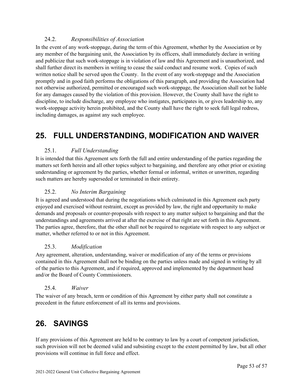#### 24.2. *Responsibilities of Association*

<span id="page-53-0"></span>In the event of any work-stoppage, during the term of this Agreement, whether by the Association or by any member of the bargaining unit, the Association by its officers, shall immediately declare in writing and publicize that such work-stoppage is in violation of law and this Agreement and is unauthorized, and shall further direct its members in writing to cease the said conduct and resume work. Copies of such written notice shall be served upon the County. In the event of any work-stoppage and the Association promptly and in good faith performs the obligations of this paragraph, and providing the Association had not otherwise authorized, permitted or encouraged such work-stoppage, the Association shall not be liable for any damages caused by the violation of this provision. However, the County shall have the right to discipline, to include discharge, any employee who instigates, participates in, or gives leadership to, any work-stoppage activity herein prohibited, and the County shall have the right to seek full legal redress, including damages, as against any such employee.

## <span id="page-53-1"></span>**25. FULL UNDERSTANDING, MODIFICATION AND WAIVER**

#### 25.1. *Full Understanding*

<span id="page-53-2"></span>It is intended that this Agreement sets forth the full and entire understanding of the parties regarding the matters set forth herein and all other topics subject to bargaining, and therefore any other prior or existing understanding or agreement by the parties, whether formal or informal, written or unwritten, regarding such matters are hereby superseded or terminated in their entirety.

#### <span id="page-53-3"></span>25.2. *No Interim Bargaining*

It is agreed and understood that during the negotiations which culminated in this Agreement each party enjoyed and exercised without restraint, except as provided by law, the right and opportunity to make demands and proposals or counter-proposals with respect to any matter subject to bargaining and that the understandings and agreements arrived at after the exercise of that right are set forth in this Agreement. The parties agree, therefore, that the other shall not be required to negotiate with respect to any subject or matter, whether referred to or not in this Agreement.

#### <span id="page-53-4"></span>25.3. *Modification*

Any agreement, alteration, understanding, waiver or modification of any of the terms or provisions contained in this Agreement shall not be binding on the parties unless made and signed in writing by all of the parties to this Agreement, and if required, approved and implemented by the department head and/or the Board of County Commissioners.

#### <span id="page-53-5"></span>25.4. *Waiver*

The waiver of any breach, term or condition of this Agreement by either party shall not constitute a precedent in the future enforcement of all its terms and provisions.

## <span id="page-53-6"></span>**26. SAVINGS**

If any provisions of this Agreement are held to be contrary to law by a court of competent jurisdiction, such provision will not be deemed valid and subsisting except to the extent permitted by law, but all other provisions will continue in full force and effect.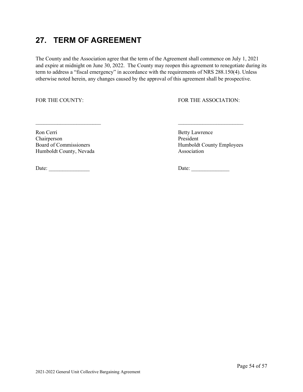## <span id="page-54-0"></span>**27. TERM OF AGREEMENT**

The County and the Association agree that the term of the Agreement shall commence on July 1, 2021 and expire at midnight on June 30, 2022. The County may reopen this agreement to renegotiate during its term to address a "fiscal emergency" in accordance with the requirements of NRS 288.150(4). Unless otherwise noted herein, any changes caused by the approval of this agreement shall be prospective.

\_\_\_\_\_\_\_\_\_\_\_\_\_\_\_\_\_\_\_\_\_\_\_\_ \_\_\_\_\_\_\_\_\_\_\_\_\_\_\_\_\_\_\_\_\_\_\_\_

#### FOR THE COUNTY: FOR THE ASSOCIATION:

Ron Cerri Betty Lawrence Chairperson President<br>Board of Commissioners Function President<br>Humboldt Humboldt County, Nevada Association

Humboldt County Employees

Date: \_\_\_\_\_\_\_\_\_\_\_\_\_\_\_ Date: \_\_\_\_\_\_\_\_\_\_\_\_\_\_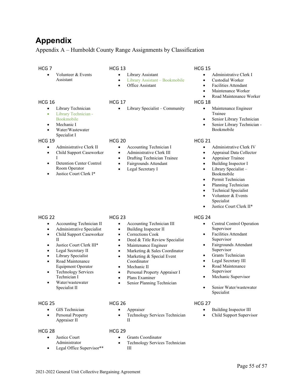## <span id="page-55-0"></span>**Appendix**

#### <span id="page-55-1"></span>Appendix A – Humboldt County Range Assignments by Classification

Volunteer & Events Assistant

#### HCG 7 HCG 13 HCG 15

- Library Assistant
- Library Assistant Bookmobile
- Office Assistant

• Accounting Technician I • Administrative Clerk III • Drafting Technician Trainee • Fairgrounds Attendant Legal Secretary I

#### HCG 16 **HCG 17** HCG 17 **HCG 18**

- Library Technician
- Library Technician Bookmobile
- Mechanic I
- Water/Wastewater Specialist I

- Administrative Clerk II
- Child Support Caseworker I
- Detention Center Control Room Operator
- Justice Court Clerk I\*

- Accounting Technician II
- Administrative Specialist
- Child Support Caseworker II
- Justice Court Clerk III\*
- Legal Secretary II
- Library Specialist
- Road Maintenance Equipment Operator
- Technology Services Technician I
- Water/wastewater Specialist II

- GIS Technician
- Personal Property Appraiser II

#### HCG 28 HCG 29

- Justice Court Administrator
- Legal Office Supervisor\*\*

#### HCG 22 **HCG 23** HCG 23 **HCG 24**

- Accounting Technician III
- Building Inspector II
- Corrections Cook
- Deed & Title Review Specialist
- Maintenance Engineer
- Marketing & Sales Coordinator Marketing & Special Event
- Coordinator
- Mechanic II
- Personal Property Appraiser I
- Plans Examiner
- Senior Planning Technician

#### HCG 25 HCG 26 HCG 26 HCG 27

- Appraiser
- Technology Services Technician II

- Grants Coordinator
- Technology Services Technician III

- Administrative Clerk I
- Custodial Worker
- Facilities Attendant
- Maintenance Worker
- Road Maintenance Worker

- Library Specialist Community Maintenance Engineer Trainee
	- Senior Library Technician
	- Senior Library Technician Bookmobile

#### HCG 19 HCG 20 HCG 20 HCG 21

- Administrative Clerk IV
- Appraisal Data Collector
- Appraiser Trainee
- Building Inspector I
- Library Specialist Bookmobile
- Permit Technician
- Planning Technician
- Technical Specialist
- Volunteer & Events Specialist
- Justice Court Clerk II\*

- Central Control Operation Supervisor
- Facilities Attendant Supervisor
- Fairgrounds Attendant Supervisor
- Grants Technician
- Legal Secretary III
- Road Maintenance Supervisor
- Mechanic Supervisor
- Senior Water/wastewater Specialist

- **Building Inspector III**
- Child Support Supervisor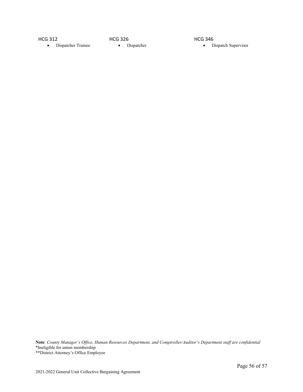HCG 312 **HCG 326** HCG 326 **HCG 312** 

• Dispatcher Trainee • Dispatcher • Dispatch Supervisor

**Note**: *County Manager's Office, Human Resources Department, and Comptroller/Auditor's Department staff are confidential* \*Ineligible for union membership

\*\*District Attorney's Office Employee